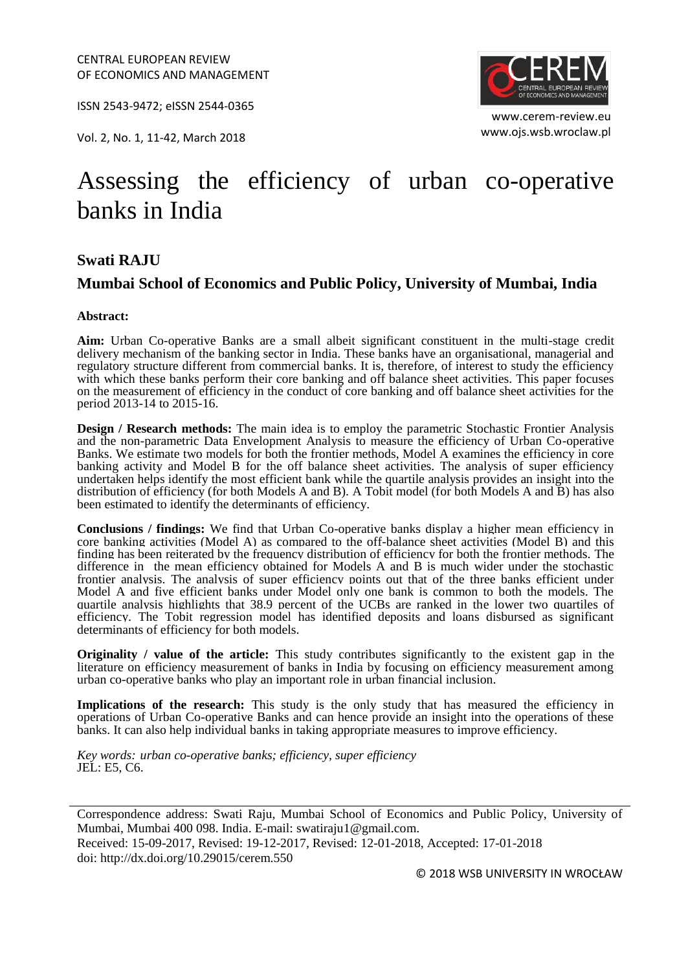ISSN 2543-9472; eISSN 2544-0365

www.ojs.wsb.wroclaw.pl Vol. 2, No. 1, 11-42, March 2018



www.cerem-review.eu

# Assessing the efficiency of urban co-operative banks in India

#### **Swati RAJU**

#### **Mumbai School of Economics and Public Policy, University of Mumbai, India**

#### **Abstract:**

**Aim:** Urban Co-operative Banks are a small albeit significant constituent in the multi-stage credit delivery mechanism of the banking sector in India. These banks have an organisational, managerial and regulatory structure different from commercial banks. It is, therefore, of interest to study the efficiency with which these banks perform their core banking and off balance sheet activities. This paper focuses on the measurement of efficiency in the conduct of core banking and off balance sheet activities for the period 2013-14 to 2015-16.

**Design / Research methods:** The main idea is to employ the parametric Stochastic Frontier Analysis and the non-parametric Data Envelopment Analysis to measure the efficiency of Urban Co-operative Banks. We estimate two models for both the frontier methods, Model A examines the efficiency in core banking activity and Model B for the off balance sheet activities. The analysis of super efficiency undertaken helps identify the most efficient bank while the quartile analysis provides an insight into the distribution of efficiency (for both Models A and B). A Tobit model (for both Models A and B) has also been estimated to identify the determinants of efficiency.

**Conclusions / findings:** We find that Urban Co-operative banks display a higher mean efficiency in core banking activities (Model A) as compared to the off-balance sheet activities (Model B) and this finding has been reiterated by the frequency distribution of efficiency for both the frontier methods. The difference in the mean efficiency obtained for Models A and B is much wider under the stochastic frontier analysis. The analysis of super efficiency points out that of the three banks efficient under Model A and five efficient banks under Model only one bank is common to both the models. The quartile analysis highlights that 38.9 percent of the UCBs are ranked in the lower two quartiles of efficiency. The Tobit regression model has identified deposits and loans disbursed as significant determinants of efficiency for both models.

**Originality / value of the article:** This study contributes significantly to the existent gap in the literature on efficiency measurement of banks in India by focusing on efficiency measurement among urban co-operative banks who play an important role in urban financial inclusion.

Implications of the research: This study is the only study that has measured the efficiency in operations of Urban Co-operative Banks and can hence provide an insight into the operations of these banks. It can also help individual banks in taking appropriate measures to improve efficiency.

*Key words: urban co-operative banks; efficiency, super efficiency* JEL: E5, C6.

Correspondence address: Swati Raju, Mumbai School of Economics and Public Policy, University of Mumbai, Mumbai 400 098. India. E-mail: swatiraju1@gmail.com. Received: 15-09-2017, Revised: 19-12-2017, Revised: 12-01-2018, Accepted: 17-01-2018 doi: http://dx.doi.org/10.29015/cerem.550

© 2018 WSB UNIVERSITY IN WROCŁAW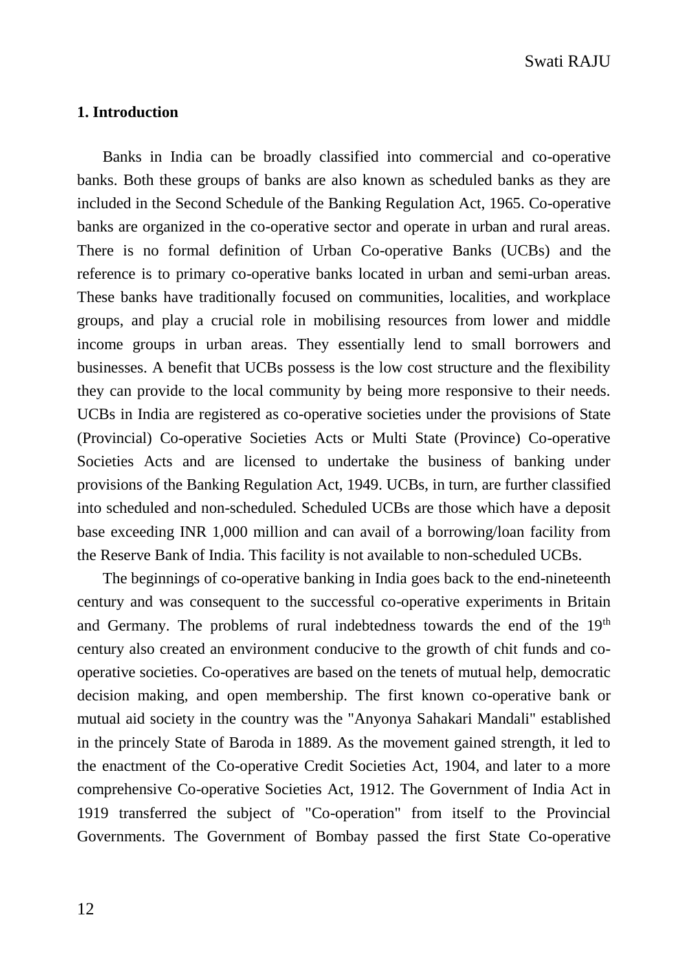### **1. Introduction**

Banks in India can be broadly classified into commercial and co-operative banks. Both these groups of banks are also known as scheduled banks as they are included in the Second Schedule of the Banking Regulation Act, 1965. Co-operative banks are organized in the co-operative sector and operate in urban and rural areas. There is no formal definition of Urban Co-operative Banks (UCBs) and the reference is to primary co-operative banks located in urban and semi-urban areas. These banks have traditionally focused on communities, localities, and workplace groups, and play a crucial role in mobilising resources from lower and middle income groups in urban areas. They essentially lend to small borrowers and businesses. A benefit that UCBs possess is the low cost structure and the flexibility they can provide to the local community by being more responsive to their needs. UCBs in India are registered as co-operative societies under the provisions of State (Provincial) Co-operative Societies Acts or Multi State (Province) Co-operative Societies Acts and are licensed to undertake the business of banking under provisions of the Banking Regulation Act, 1949. UCBs, in turn, are further classified into scheduled and non-scheduled. Scheduled UCBs are those which have a deposit base exceeding INR 1,000 million and can avail of a borrowing/loan facility from the Reserve Bank of India. This facility is not available to non-scheduled UCBs.

The beginnings of co-operative banking in India goes back to the end-nineteenth century and was consequent to the successful co-operative experiments in Britain and Germany. The problems of rural indebtedness towards the end of the  $19<sup>th</sup>$ century also created an environment conducive to the growth of chit funds and cooperative societies. Co-operatives are based on the tenets of mutual help, democratic decision making, and open membership. The first known co-operative bank or mutual aid society in the country was the "Anyonya Sahakari Mandali" established in the princely State of Baroda in 1889. As the movement gained strength, it led to the enactment of the Co-operative Credit Societies Act, 1904, and later to a more comprehensive Co-operative Societies Act, 1912. The Government of India Act in 1919 transferred the subject of "Co-operation" from itself to the Provincial Governments. The Government of Bombay passed the first State Co-operative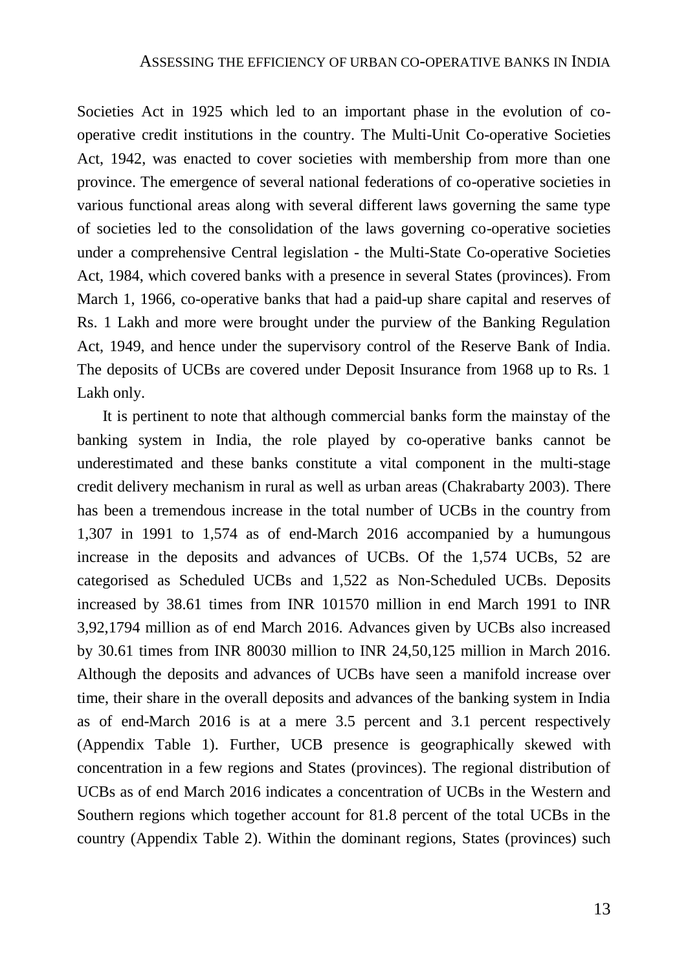Societies Act in 1925 which led to an important phase in the evolution of cooperative credit institutions in the country. The Multi-Unit Co-operative Societies Act, 1942, was enacted to cover societies with membership from more than one province. The emergence of several national federations of co-operative societies in various functional areas along with several different laws governing the same type of societies led to the consolidation of the laws governing co-operative societies under a comprehensive Central legislation - the Multi-State Co-operative Societies Act, 1984, which covered banks with a presence in several States (provinces). From March 1, 1966, co-operative banks that had a paid-up share capital and reserves of Rs. 1 Lakh and more were brought under the purview of the Banking Regulation Act, 1949, and hence under the supervisory control of the Reserve Bank of India. The deposits of UCBs are covered under Deposit Insurance from 1968 up to Rs. 1 Lakh only.

It is pertinent to note that although commercial banks form the mainstay of the banking system in India, the role played by co-operative banks cannot be underestimated and these banks constitute a vital component in the multi-stage credit delivery mechanism in rural as well as urban areas (Chakrabarty 2003). There has been a tremendous increase in the total number of UCBs in the country from 1,307 in 1991 to 1,574 as of end-March 2016 accompanied by a humungous increase in the deposits and advances of UCBs. Of the 1,574 UCBs, 52 are categorised as Scheduled UCBs and 1,522 as Non-Scheduled UCBs. Deposits increased by 38.61 times from INR 101570 million in end March 1991 to INR 3,92,1794 million as of end March 2016. Advances given by UCBs also increased by 30.61 times from INR 80030 million to INR 24,50,125 million in March 2016. Although the deposits and advances of UCBs have seen a manifold increase over time, their share in the overall deposits and advances of the banking system in India as of end-March 2016 is at a mere 3.5 percent and 3.1 percent respectively (Appendix Table 1). Further, UCB presence is geographically skewed with concentration in a few regions and States (provinces). The regional distribution of UCBs as of end March 2016 indicates a concentration of UCBs in the Western and Southern regions which together account for 81.8 percent of the total UCBs in the country (Appendix Table 2). Within the dominant regions, States (provinces) such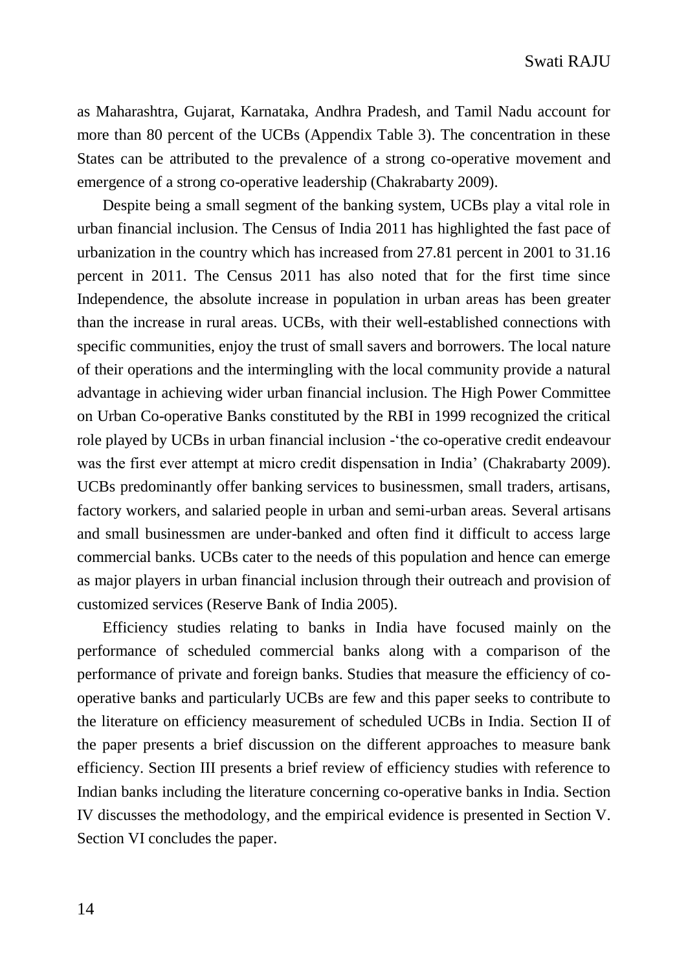as Maharashtra, Gujarat, Karnataka, Andhra Pradesh, and Tamil Nadu account for more than 80 percent of the UCBs (Appendix Table 3). The concentration in these States can be attributed to the prevalence of a strong co-operative movement and emergence of a strong co-operative leadership (Chakrabarty 2009).

Despite being a small segment of the banking system, UCBs play a vital role in urban financial inclusion. The Census of India 2011 has highlighted the fast pace of urbanization in the country which has increased from 27.81 percent in 2001 to 31.16 percent in 2011. The Census 2011 has also noted that for the first time since Independence, the absolute increase in population in urban areas has been greater than the increase in rural areas. UCBs, with their well-established connections with specific communities, enjoy the trust of small savers and borrowers. The local nature of their operations and the intermingling with the local community provide a natural advantage in achieving wider urban financial inclusion. The High Power Committee on Urban Co-operative Banks constituted by the RBI in 1999 recognized the critical role played by UCBs in urban financial inclusion -'the co-operative credit endeavour was the first ever attempt at micro credit dispensation in India' (Chakrabarty 2009). UCBs predominantly offer banking services to businessmen, small traders, artisans, factory workers, and salaried people in urban and semi-urban areas*.* Several artisans and small businessmen are under-banked and often find it difficult to access large commercial banks. UCBs cater to the needs of this population and hence can emerge as major players in urban financial inclusion through their outreach and provision of customized services (Reserve Bank of India 2005).

Efficiency studies relating to banks in India have focused mainly on the performance of scheduled commercial banks along with a comparison of the performance of private and foreign banks. Studies that measure the efficiency of cooperative banks and particularly UCBs are few and this paper seeks to contribute to the literature on efficiency measurement of scheduled UCBs in India. Section II of the paper presents a brief discussion on the different approaches to measure bank efficiency. Section III presents a brief review of efficiency studies with reference to Indian banks including the literature concerning co-operative banks in India. Section IV discusses the methodology, and the empirical evidence is presented in Section V. Section VI concludes the paper.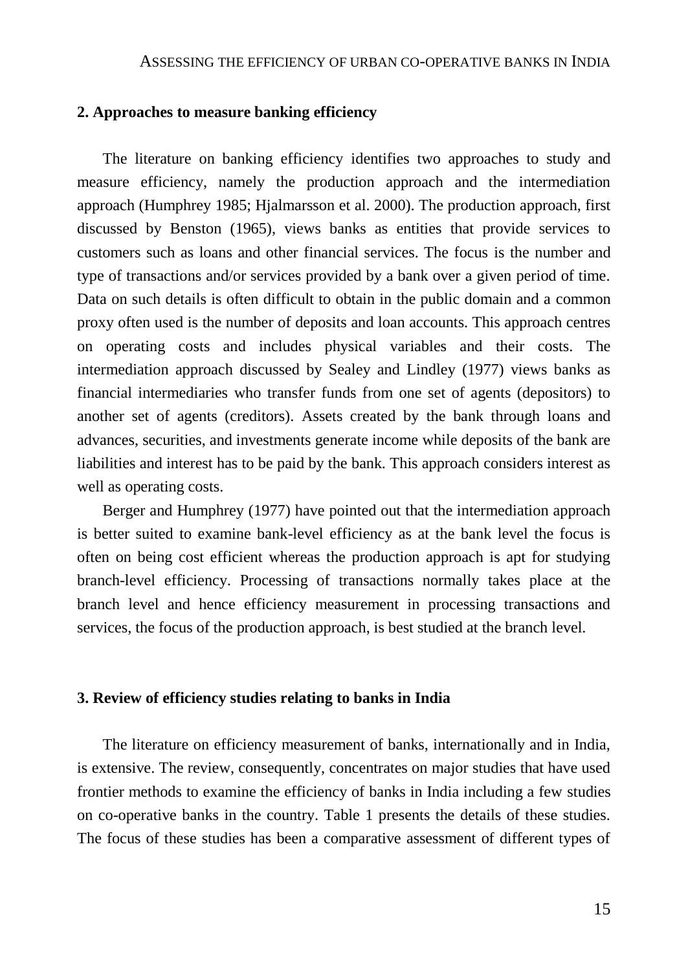#### **2. Approaches to measure banking efficiency**

The literature on banking efficiency identifies two approaches to study and measure efficiency, namely the production approach and the intermediation approach (Humphrey 1985; Hjalmarsson et al. 2000). The production approach, first discussed by Benston (1965), views banks as entities that provide services to customers such as loans and other financial services. The focus is the number and type of transactions and/or services provided by a bank over a given period of time. Data on such details is often difficult to obtain in the public domain and a common proxy often used is the number of deposits and loan accounts. This approach centres on operating costs and includes physical variables and their costs. The intermediation approach discussed by Sealey and Lindley (1977) views banks as financial intermediaries who transfer funds from one set of agents (depositors) to another set of agents (creditors). Assets created by the bank through loans and advances, securities, and investments generate income while deposits of the bank are liabilities and interest has to be paid by the bank. This approach considers interest as well as operating costs.

Berger and Humphrey (1977) have pointed out that the intermediation approach is better suited to examine bank-level efficiency as at the bank level the focus is often on being cost efficient whereas the production approach is apt for studying branch-level efficiency. Processing of transactions normally takes place at the branch level and hence efficiency measurement in processing transactions and services, the focus of the production approach, is best studied at the branch level.

#### **3. Review of efficiency studies relating to banks in India**

The literature on efficiency measurement of banks, internationally and in India, is extensive. The review, consequently, concentrates on major studies that have used frontier methods to examine the efficiency of banks in India including a few studies on co-operative banks in the country. Table 1 presents the details of these studies. The focus of these studies has been a comparative assessment of different types of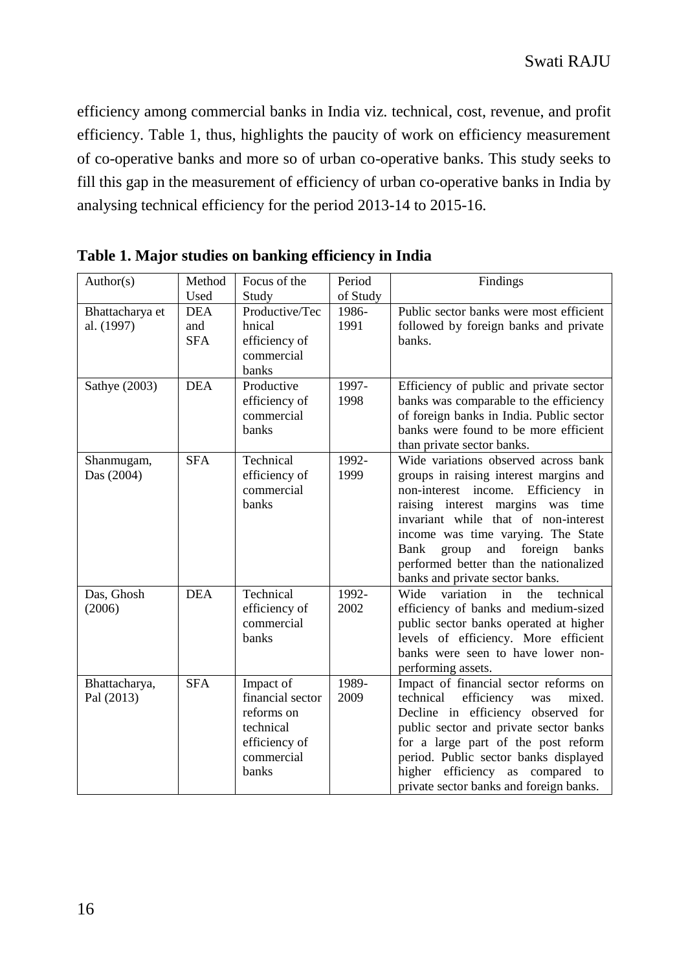efficiency among commercial banks in India viz. technical, cost, revenue, and profit efficiency. Table 1, thus, highlights the paucity of work on efficiency measurement of co-operative banks and more so of urban co-operative banks. This study seeks to fill this gap in the measurement of efficiency of urban co-operative banks in India by analysing technical efficiency for the period 2013-14 to 2015-16.

| Author(s)                     | Method                          | Focus of the                                                                                     | Period        | Findings                                                                                                                                                                                                                                                                                                                                                            |
|-------------------------------|---------------------------------|--------------------------------------------------------------------------------------------------|---------------|---------------------------------------------------------------------------------------------------------------------------------------------------------------------------------------------------------------------------------------------------------------------------------------------------------------------------------------------------------------------|
|                               | Used                            | Study                                                                                            | of Study      |                                                                                                                                                                                                                                                                                                                                                                     |
| Bhattacharya et<br>al. (1997) | <b>DEA</b><br>and<br><b>SFA</b> | Productive/Tec<br>hnical<br>efficiency of<br>commercial<br>banks                                 | 1986-<br>1991 | Public sector banks were most efficient<br>followed by foreign banks and private<br>banks.                                                                                                                                                                                                                                                                          |
| Sathye (2003)                 | <b>DEA</b>                      | Productive<br>efficiency of<br>commercial<br>banks                                               | 1997-<br>1998 | Efficiency of public and private sector<br>banks was comparable to the efficiency<br>of foreign banks in India. Public sector<br>banks were found to be more efficient<br>than private sector banks.                                                                                                                                                                |
| Shanmugam,<br>Das (2004)      | <b>SFA</b>                      | Technical<br>efficiency of<br>commercial<br>banks                                                | 1992-<br>1999 | Wide variations observed across bank<br>groups in raising interest margins and<br>non-interest income.<br>Efficiency in<br>raising interest margins was time<br>invariant while that of non-interest<br>income was time varying. The State<br>foreign<br>Bank<br>group<br>and<br>banks<br>performed better than the nationalized<br>banks and private sector banks. |
| Das, Ghosh<br>(2006)          | <b>DEA</b>                      | Technical<br>efficiency of<br>commercial<br><b>banks</b>                                         | 1992-<br>2002 | variation<br>Wide<br>technical<br>in<br>the<br>efficiency of banks and medium-sized<br>public sector banks operated at higher<br>levels of efficiency. More efficient<br>banks were seen to have lower non-<br>performing assets.                                                                                                                                   |
| Bhattacharya,<br>Pal (2013)   | <b>SFA</b>                      | Impact of<br>financial sector<br>reforms on<br>technical<br>efficiency of<br>commercial<br>banks | 1989-<br>2009 | Impact of financial sector reforms on<br>technical<br>efficiency<br>mixed.<br>was<br>Decline in efficiency observed for<br>public sector and private sector banks<br>for a large part of the post reform<br>period. Public sector banks displayed<br>higher efficiency as compared to<br>private sector banks and foreign banks.                                    |

**Table 1. Major studies on banking efficiency in India**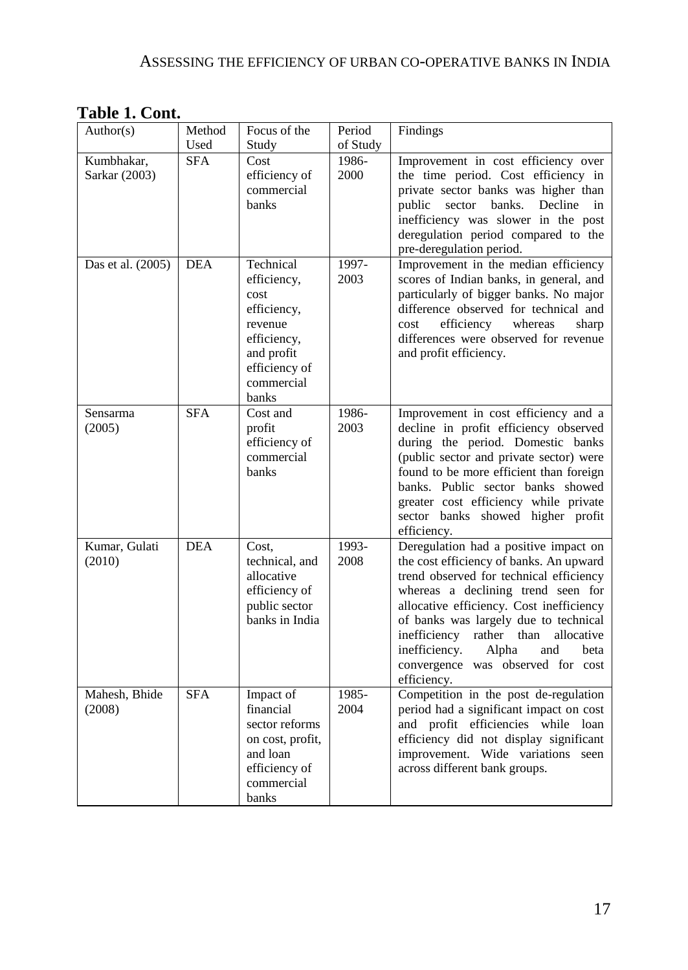| Author(s)                   | Method             | Focus of the                                                                                                                    | Period            | Findings                                                                                                                                                                                                                                                                                                                                                                                         |
|-----------------------------|--------------------|---------------------------------------------------------------------------------------------------------------------------------|-------------------|--------------------------------------------------------------------------------------------------------------------------------------------------------------------------------------------------------------------------------------------------------------------------------------------------------------------------------------------------------------------------------------------------|
|                             | Used<br><b>SFA</b> | Study                                                                                                                           | of Study<br>1986- |                                                                                                                                                                                                                                                                                                                                                                                                  |
| Kumbhakar,<br>Sarkar (2003) |                    | Cost<br>efficiency of<br>commercial<br>banks                                                                                    | 2000              | Improvement in cost efficiency over<br>the time period. Cost efficiency in<br>private sector banks was higher than<br>public sector banks.<br>Decline<br>in<br>inefficiency was slower in the post<br>deregulation period compared to the<br>pre-deregulation period.                                                                                                                            |
| Das et al. (2005)           | <b>DEA</b>         | Technical<br>efficiency,<br>cost<br>efficiency,<br>revenue<br>efficiency,<br>and profit<br>efficiency of<br>commercial<br>banks | 1997-<br>2003     | Improvement in the median efficiency<br>scores of Indian banks, in general, and<br>particularly of bigger banks. No major<br>difference observed for technical and<br>efficiency<br>whereas<br>cost<br>sharp<br>differences were observed for revenue<br>and profit efficiency.                                                                                                                  |
| Sensarma<br>(2005)          | <b>SFA</b>         | Cost and<br>profit<br>efficiency of<br>commercial<br>banks                                                                      | 1986-<br>2003     | Improvement in cost efficiency and a<br>decline in profit efficiency observed<br>during the period. Domestic banks<br>(public sector and private sector) were<br>found to be more efficient than foreign<br>banks. Public sector banks showed<br>greater cost efficiency while private<br>sector banks showed higher profit<br>efficiency.                                                       |
| Kumar, Gulati<br>(2010)     | <b>DEA</b>         | Cost.<br>technical, and<br>allocative<br>efficiency of<br>public sector<br>banks in India                                       | 1993-<br>2008     | Deregulation had a positive impact on<br>the cost efficiency of banks. An upward<br>trend observed for technical efficiency<br>whereas a declining trend seen for<br>allocative efficiency. Cost inefficiency<br>of banks was largely due to technical<br>inefficiency<br>rather than<br>allocative<br>inefficiency.<br>Alpha<br>and<br>beta<br>convergence was observed for cost<br>efficiency. |
| Mahesh, Bhide<br>(2008)     | <b>SFA</b>         | Impact of<br>financial<br>sector reforms<br>on cost, profit,<br>and loan<br>efficiency of<br>commercial<br>banks                | 1985-<br>2004     | Competition in the post de-regulation<br>period had a significant impact on cost<br>and profit efficiencies while loan<br>efficiency did not display significant<br>improvement. Wide variations seen<br>across different bank groups.                                                                                                                                                           |

**Table 1. Cont.**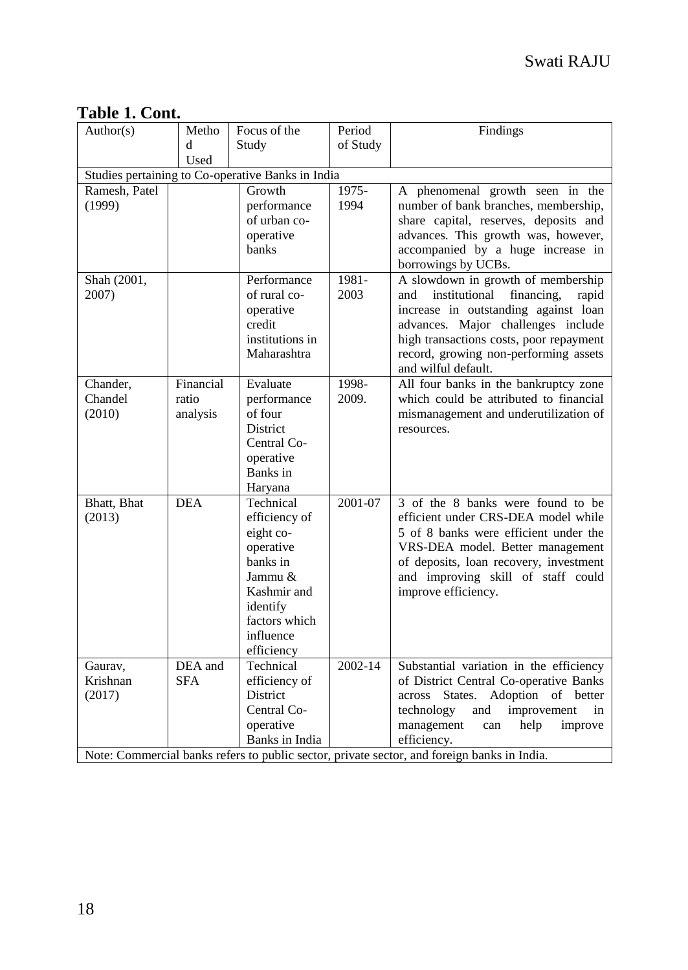| Author(s)                                         | Metho      | Focus of the            | Period   | Findings                                                                                    |  |
|---------------------------------------------------|------------|-------------------------|----------|---------------------------------------------------------------------------------------------|--|
|                                                   | d          | Study                   | of Study |                                                                                             |  |
|                                                   | Used       |                         |          |                                                                                             |  |
| Studies pertaining to Co-operative Banks in India |            |                         |          |                                                                                             |  |
| Ramesh, Patel                                     |            | Growth                  | 1975-    | A phenomenal growth seen in the                                                             |  |
| (1999)                                            |            | performance             | 1994     | number of bank branches, membership,                                                        |  |
|                                                   |            | of urban co-            |          | share capital, reserves, deposits and                                                       |  |
|                                                   |            | operative               |          | advances. This growth was, however,                                                         |  |
|                                                   |            | banks                   |          | accompanied by a huge increase in                                                           |  |
|                                                   |            |                         |          | borrowings by UCBs.                                                                         |  |
| Shah (2001,                                       |            | Performance             | 1981-    | A slowdown in growth of membership                                                          |  |
| 2007)                                             |            | of rural co-            | 2003     | institutional<br>financing,<br>rapid<br>and                                                 |  |
|                                                   |            | operative<br>credit     |          | increase in outstanding against loan<br>advances. Major challenges include                  |  |
|                                                   |            | institutions in         |          | high transactions costs, poor repayment                                                     |  |
|                                                   |            | Maharashtra             |          | record, growing non-performing assets                                                       |  |
|                                                   |            |                         |          | and wilful default.                                                                         |  |
| Chander.                                          | Financial  | Evaluate                | 1998-    | All four banks in the bankruptcy zone                                                       |  |
| Chandel                                           | ratio      | performance             | 2009.    | which could be attributed to financial                                                      |  |
| (2010)                                            | analysis   | of four                 |          | mismanagement and underutilization of                                                       |  |
|                                                   |            | <b>District</b>         |          | resources.                                                                                  |  |
|                                                   |            | Central Co-             |          |                                                                                             |  |
|                                                   |            | operative               |          |                                                                                             |  |
|                                                   |            | Banks in                |          |                                                                                             |  |
|                                                   |            | Haryana                 |          |                                                                                             |  |
| Bhatt, Bhat                                       | <b>DEA</b> | Technical               | 2001-07  | 3 of the 8 banks were found to be                                                           |  |
| (2013)                                            |            | efficiency of           |          | efficient under CRS-DEA model while                                                         |  |
|                                                   |            | eight co-               |          | 5 of 8 banks were efficient under the                                                       |  |
|                                                   |            | operative               |          | VRS-DEA model. Better management                                                            |  |
|                                                   |            | banks in                |          | of deposits, loan recovery, investment                                                      |  |
|                                                   |            | Jammu &                 |          | and improving skill of staff could                                                          |  |
|                                                   |            | Kashmir and<br>identify |          | improve efficiency.                                                                         |  |
|                                                   |            | factors which           |          |                                                                                             |  |
|                                                   |            | influence               |          |                                                                                             |  |
|                                                   |            | efficiency              |          |                                                                                             |  |
| Gaurav.                                           | DEA and    | Technical               | 2002-14  | Substantial variation in the efficiency                                                     |  |
| Krishnan                                          | <b>SFA</b> | efficiency of           |          | of District Central Co-operative Banks                                                      |  |
| (2017)                                            |            | District                |          | across States. Adoption of better                                                           |  |
|                                                   |            | Central Co-             |          | technology<br>and<br>improvement<br>in                                                      |  |
|                                                   |            | operative               |          | management<br>help<br>improve<br>can                                                        |  |
|                                                   |            | Banks in India          |          | efficiency.                                                                                 |  |
|                                                   |            |                         |          | Note: Commercial banks refers to public sector, private sector, and foreign banks in India. |  |

# **Table 1. Cont.**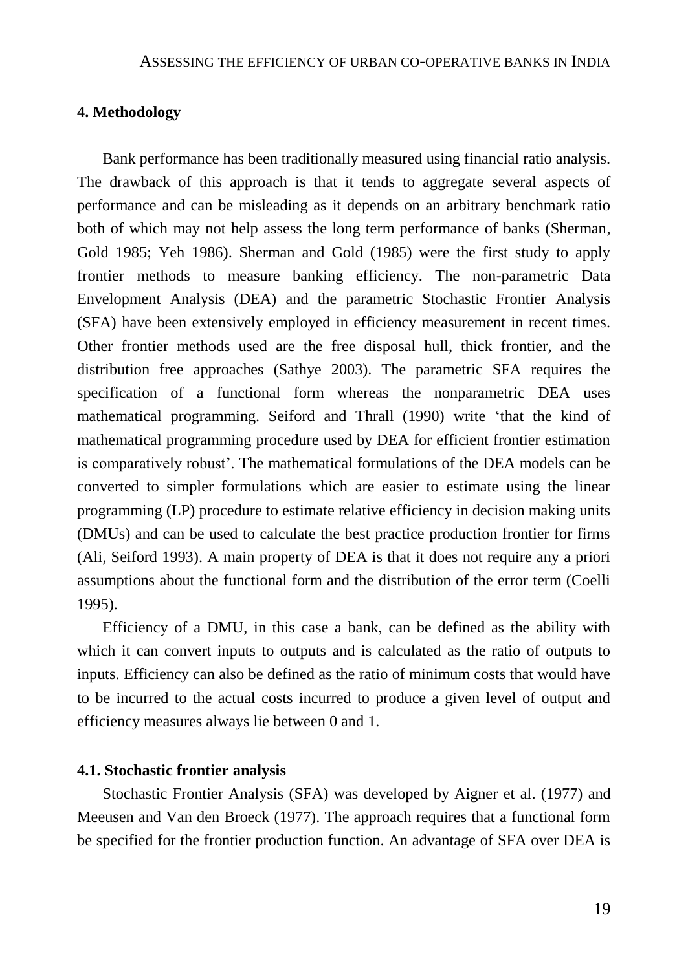## **4. Methodology**

Bank performance has been traditionally measured using financial ratio analysis. The drawback of this approach is that it tends to aggregate several aspects of performance and can be misleading as it depends on an arbitrary benchmark ratio both of which may not help assess the long term performance of banks (Sherman, Gold 1985; Yeh 1986). Sherman and Gold (1985) were the first study to apply frontier methods to measure banking efficiency. The non-parametric Data Envelopment Analysis (DEA) and the parametric Stochastic Frontier Analysis (SFA) have been extensively employed in efficiency measurement in recent times. Other frontier methods used are the free disposal hull, thick frontier, and the distribution free approaches (Sathye 2003). The parametric SFA requires the specification of a functional form whereas the nonparametric DEA uses mathematical programming. Seiford and Thrall (1990) write 'that the kind of mathematical programming procedure used by DEA for efficient frontier estimation is comparatively robust'. The mathematical formulations of the DEA models can be converted to simpler formulations which are easier to estimate using the linear programming (LP) procedure to estimate relative efficiency in decision making units (DMUs) and can be used to calculate the best practice production frontier for firms (Ali, Seiford 1993). A main property of DEA is that it does not require any a priori assumptions about the functional form and the distribution of the error term (Coelli 1995).

Efficiency of a DMU, in this case a bank, can be defined as the ability with which it can convert inputs to outputs and is calculated as the ratio of outputs to inputs. Efficiency can also be defined as the ratio of minimum costs that would have to be incurred to the actual costs incurred to produce a given level of output and efficiency measures always lie between 0 and 1.

## **4.1. Stochastic frontier analysis**

Stochastic Frontier Analysis (SFA) was developed by Aigner et al. (1977) and Meeusen and Van den Broeck (1977). The approach requires that a functional form be specified for the frontier production function. An advantage of SFA over DEA is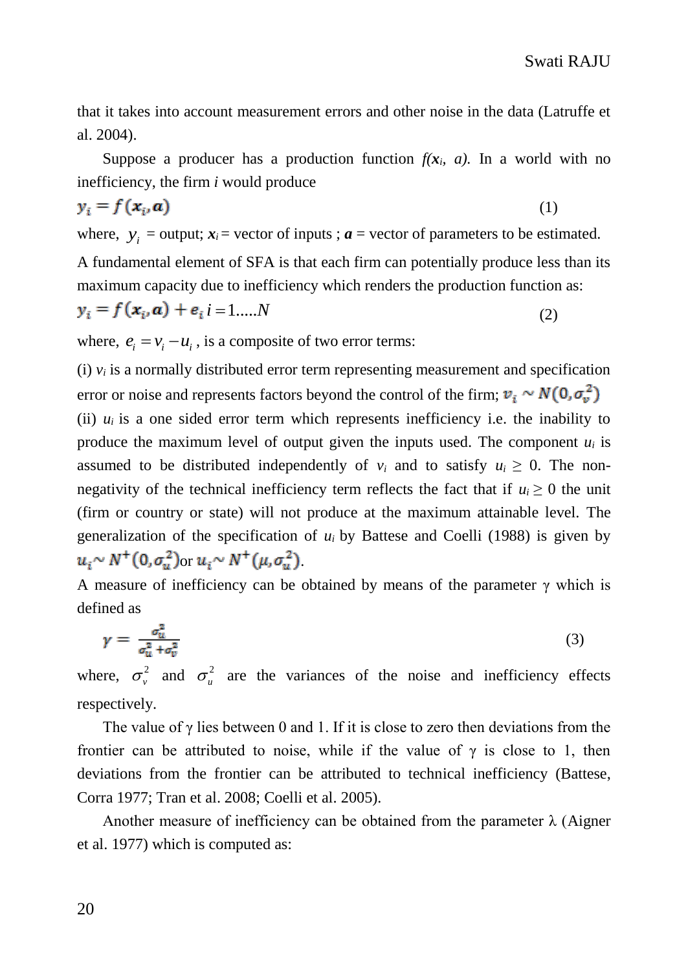that it takes into account measurement errors and other noise in the data (Latruffe et al. 2004).

Suppose a producer has a production function  $f(x_i, a)$ . In a world with no inefficiency, the firm *i* would produce

$$
y_i = f(\mathbf{x}_i, \mathbf{a}) \tag{1}
$$

where,  $y_i$  = output;  $x_i$  = vector of inputs ;  $a$  = vector of parameters to be estimated. A fundamental element of SFA is that each firm can potentially produce less than its maximum capacity due to inefficiency which renders the production function as:

$$
y_i = f(\mathbf{x}_i, \mathbf{a}) + e_i \, i = 1, \dots, N \tag{2}
$$

where,  $e_i = v_i - u_i$ , is a composite of two error terms:

(i)  $v_i$  is a normally distributed error term representing measurement and specification error or noise and represents factors beyond the control of the firm;  $v_i \sim N(0, \sigma_v^2)$ (ii)  $u_i$  is a one sided error term which represents inefficiency i.e. the inability to produce the maximum level of output given the inputs used. The component  $u_i$  is assumed to be distributed independently of  $v_i$  and to satisfy  $u_i \geq 0$ . The nonnegativity of the technical inefficiency term reflects the fact that if  $u_i \ge 0$  the unit (firm or country or state) will not produce at the maximum attainable level. The generalization of the specification of  $u_i$  by Battese and Coelli (1988) is given by  $u_i \sim N^+(0, \sigma_i^2)$  or  $u_i \sim N^+(\mu, \sigma_i^2)$ .

A measure of inefficiency can be obtained by means of the parameter  $\gamma$  which is defined as

$$
\gamma = \frac{\sigma_u^2}{\sigma_u^2 + \sigma_v^2} \tag{3}
$$

where,  $\sigma_v^2$  and  $\sigma_u^2$  are the variances of the noise and inefficiency effects respectively.

The value of  $\gamma$  lies between 0 and 1. If it is close to zero then deviations from the frontier can be attributed to noise, while if the value of  $\gamma$  is close to 1, then deviations from the frontier can be attributed to technical inefficiency (Battese, Corra 1977; Tran et al. 2008; Coelli et al. 2005).

Another measure of inefficiency can be obtained from the parameter  $\lambda$  (Aigner et al. 1977) which is computed as: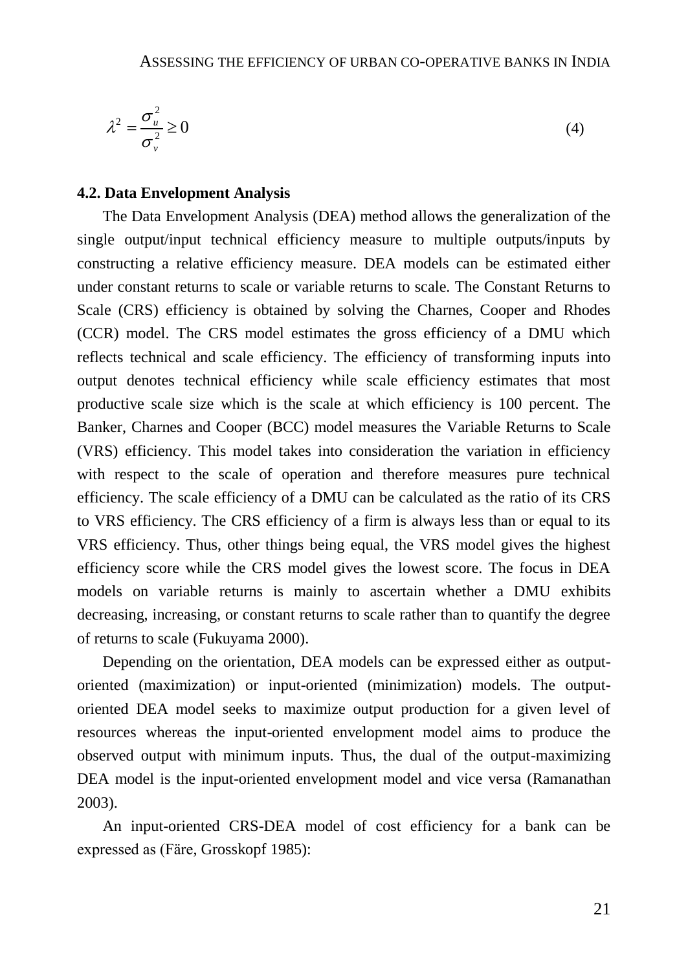$$
\lambda^2 = \frac{\sigma_u^2}{\sigma_v^2} \ge 0
$$
\n<sup>(4)</sup>

#### **4.2. Data Envelopment Analysis**

(4)<br>
2<sup>2</sup>  $\geq$  20 (4)<br>
22<br>
22 1<br>
22<br>
22 1<br>
22 1<br>
22 1<br>
22 1<br>
22 1<br>
22 1<br>
22 1<br>
22 1<br>
22 1<br>
22 1<br>
22 1<br>
22 1<br>
22 1<br>
22 1<br>
22 1<br>
22 1<br>
22 1<br>
22 1<br>
22 1<br>
22 1<br>
22 1<br>
22 1<br>
22 1<br>
22 1<br>
22 1<br>
22 **EV** Constant Manus 10 constan The Data Envelopment Analysis (DEA) method allows the generalization of the single output/input technical efficiency measure to multiple outputs/inputs by constructing a relative efficiency measure. DEA models can be estimated either under constant returns to scale or variable returns to scale. The Constant Returns to Scale (CRS) efficiency is obtained by solving the Charnes, Cooper and Rhodes (CCR) model. The CRS model estimates the gross efficiency of a DMU which reflects technical and scale efficiency. The efficiency of transforming inputs into output denotes technical efficiency while scale efficiency estimates that most productive scale size which is the scale at which efficiency is 100 percent. The Banker, Charnes and Cooper (BCC) model measures the Variable Returns to Scale (VRS) efficiency. This model takes into consideration the variation in efficiency with respect to the scale of operation and therefore measures pure technical efficiency. The scale efficiency of a DMU can be calculated as the ratio of its CRS to VRS efficiency. The CRS efficiency of a firm is always less than or equal to its VRS efficiency. Thus, other things being equal, the VRS model gives the highest efficiency score while the CRS model gives the lowest score. The focus in DEA models on variable returns is mainly to ascertain whether a DMU exhibits decreasing, increasing, or constant returns to scale rather than to quantify the degree of returns to scale (Fukuyama 2000).

Depending on the orientation, DEA models can be expressed either as outputoriented (maximization) or input-oriented (minimization) models. The outputoriented DEA model seeks to maximize output production for a given level of resources whereas the input-oriented envelopment model aims to produce the observed output with minimum inputs. Thus, the dual of the output-maximizing DEA model is the input-oriented envelopment model and vice versa (Ramanathan 2003).

An input-oriented CRS-DEA model of cost efficiency for a bank can be expressed as (Färe, Grosskopf 1985):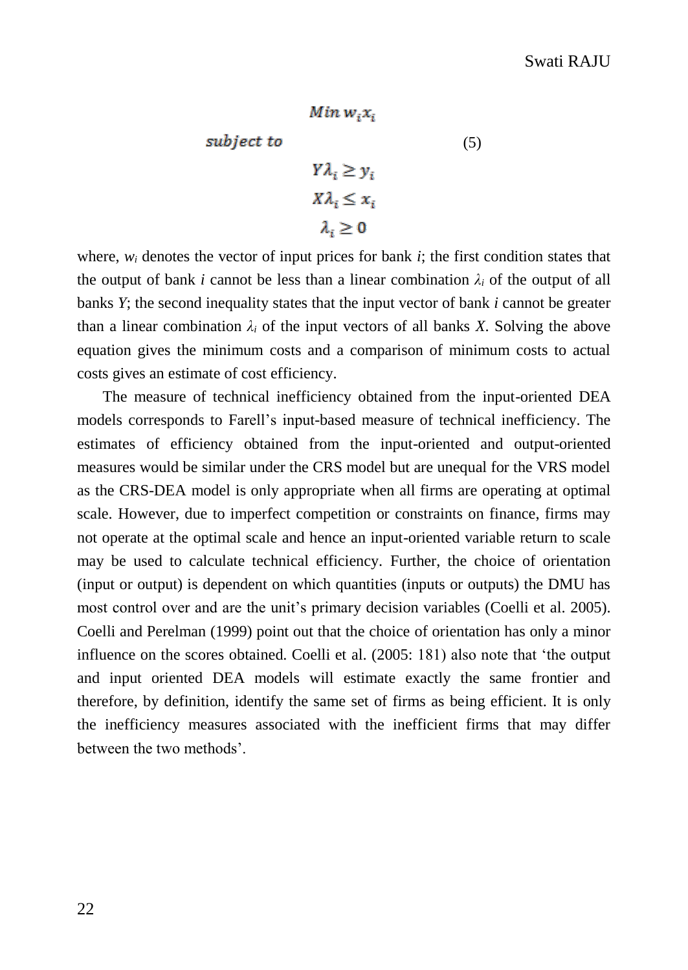$$
Min w_i x_i
$$
  
subject to  

$$
Y\lambda_i \ge y_i
$$

$$
X\lambda_i \le x_i
$$

$$
\lambda_i \ge 0
$$

where,  $w_i$  denotes the vector of input prices for bank  $i$ ; the first condition states that the output of bank *i* cannot be less than a linear combination  $\lambda_i$  of the output of all banks *Y*; the second inequality states that the input vector of bank *i* cannot be greater than a linear combination  $\lambda_i$  of the input vectors of all banks *X*. Solving the above equation gives the minimum costs and a comparison of minimum costs to actual costs gives an estimate of cost efficiency.

The measure of technical inefficiency obtained from the input-oriented DEA models corresponds to Farell's input-based measure of technical inefficiency. The estimates of efficiency obtained from the input-oriented and output-oriented measures would be similar under the CRS model but are unequal for the VRS model as the CRS-DEA model is only appropriate when all firms are operating at optimal scale. However, due to imperfect competition or constraints on finance, firms may not operate at the optimal scale and hence an input-oriented variable return to scale may be used to calculate technical efficiency. Further, the choice of orientation (input or output) is dependent on which quantities (inputs or outputs) the DMU has most control over and are the unit's primary decision variables (Coelli et al. 2005). Coelli and Perelman (1999) point out that the choice of orientation has only a minor influence on the scores obtained. Coelli et al. (2005: 181) also note that 'the output and input oriented DEA models will estimate exactly the same frontier and therefore, by definition, identify the same set of firms as being efficient. It is only the inefficiency measures associated with the inefficient firms that may differ between the two methods'.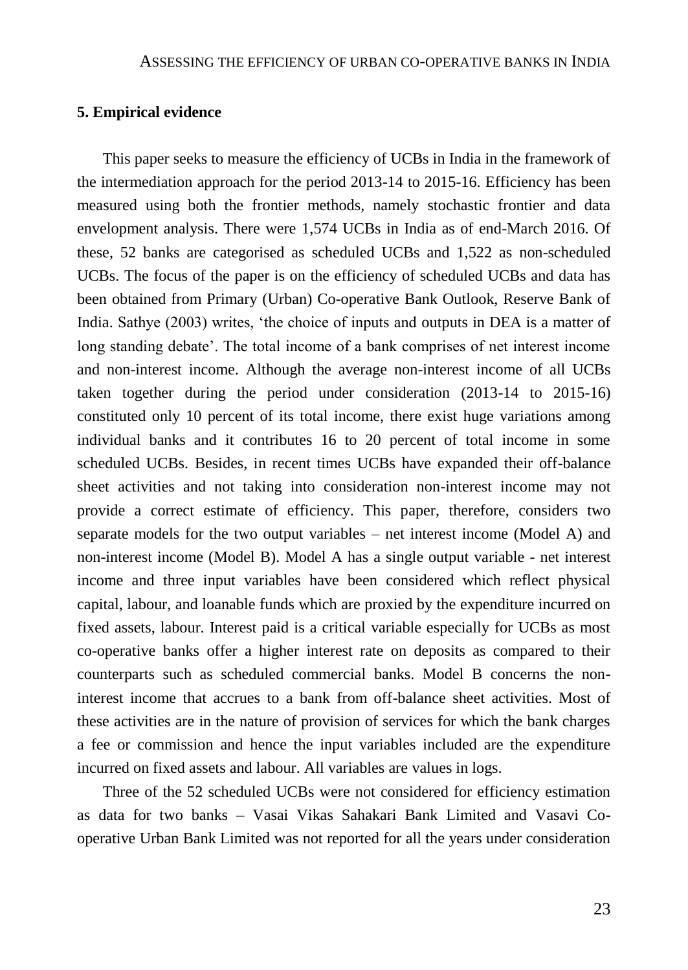#### **5. Empirical evidence**

This paper seeks to measure the efficiency of UCBs in India in the framework of the intermediation approach for the period 2013-14 to 2015-16. Efficiency has been measured using both the frontier methods, namely stochastic frontier and data envelopment analysis. There were 1,574 UCBs in India as of end-March 2016. Of these, 52 banks are categorised as scheduled UCBs and 1,522 as non-scheduled UCBs. The focus of the paper is on the efficiency of scheduled UCBs and data has been obtained from Primary (Urban) Co-operative Bank Outlook, Reserve Bank of India. Sathye (2003) writes, 'the choice of inputs and outputs in DEA is a matter of long standing debate'. The total income of a bank comprises of net interest income and non-interest income. Although the average non-interest income of all UCBs taken together during the period under consideration (2013-14 to 2015-16) constituted only 10 percent of its total income, there exist huge variations among individual banks and it contributes 16 to 20 percent of total income in some scheduled UCBs. Besides, in recent times UCBs have expanded their off-balance sheet activities and not taking into consideration non-interest income may not provide a correct estimate of efficiency. This paper, therefore, considers two separate models for the two output variables – net interest income (Model A) and non-interest income (Model B). Model A has a single output variable - net interest income and three input variables have been considered which reflect physical capital, labour, and loanable funds which are proxied by the expenditure incurred on fixed assets, labour. Interest paid is a critical variable especially for UCBs as most co-operative banks offer a higher interest rate on deposits as compared to their counterparts such as scheduled commercial banks. Model B concerns the noninterest income that accrues to a bank from off-balance sheet activities. Most of these activities are in the nature of provision of services for which the bank charges a fee or commission and hence the input variables included are the expenditure incurred on fixed assets and labour. All variables are values in logs.

Three of the 52 scheduled UCBs were not considered for efficiency estimation as data for two banks – Vasai Vikas Sahakari Bank Limited and Vasavi Cooperative Urban Bank Limited was not reported for all the years under consideration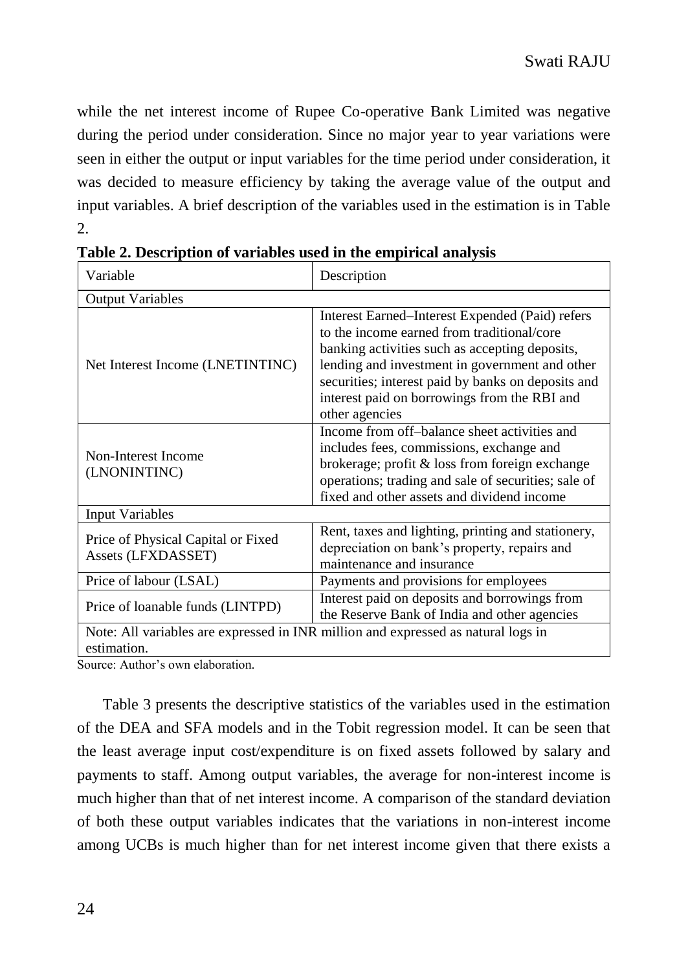while the net interest income of Rupee Co-operative Bank Limited was negative during the period under consideration. Since no major year to year variations were seen in either the output or input variables for the time period under consideration, it was decided to measure efficiency by taking the average value of the output and input variables. A brief description of the variables used in the estimation is in Table  $2<sup>2</sup>$ 

| Variable                                                 | Description                                                                                                                                                                                                                                                                                                               |
|----------------------------------------------------------|---------------------------------------------------------------------------------------------------------------------------------------------------------------------------------------------------------------------------------------------------------------------------------------------------------------------------|
| <b>Output Variables</b>                                  |                                                                                                                                                                                                                                                                                                                           |
| Net Interest Income (LNETINTINC)                         | Interest Earned–Interest Expended (Paid) refers<br>to the income earned from traditional/core<br>banking activities such as accepting deposits,<br>lending and investment in government and other<br>securities; interest paid by banks on deposits and<br>interest paid on borrowings from the RBI and<br>other agencies |
| Non-Interest Income<br>(LNONINTINC)                      | Income from off-balance sheet activities and<br>includes fees, commissions, exchange and<br>brokerage; profit & loss from foreign exchange<br>operations; trading and sale of securities; sale of<br>fixed and other assets and dividend income                                                                           |
| <b>Input Variables</b>                                   |                                                                                                                                                                                                                                                                                                                           |
| Price of Physical Capital or Fixed<br>Assets (LFXDASSET) | Rent, taxes and lighting, printing and stationery,<br>depreciation on bank's property, repairs and<br>maintenance and insurance                                                                                                                                                                                           |
| Price of labour (LSAL)                                   | Payments and provisions for employees                                                                                                                                                                                                                                                                                     |
| Price of loanable funds (LINTPD)                         | Interest paid on deposits and borrowings from<br>the Reserve Bank of India and other agencies                                                                                                                                                                                                                             |
| estimation.                                              | Note: All variables are expressed in INR million and expressed as natural logs in                                                                                                                                                                                                                                         |

**Table 2. Description of variables used in the empirical analysis**

Source: Author's own elaboration.

Table 3 presents the descriptive statistics of the variables used in the estimation of the DEA and SFA models and in the Tobit regression model. It can be seen that the least average input cost/expenditure is on fixed assets followed by salary and payments to staff. Among output variables, the average for non-interest income is much higher than that of net interest income. A comparison of the standard deviation of both these output variables indicates that the variations in non-interest income among UCBs is much higher than for net interest income given that there exists a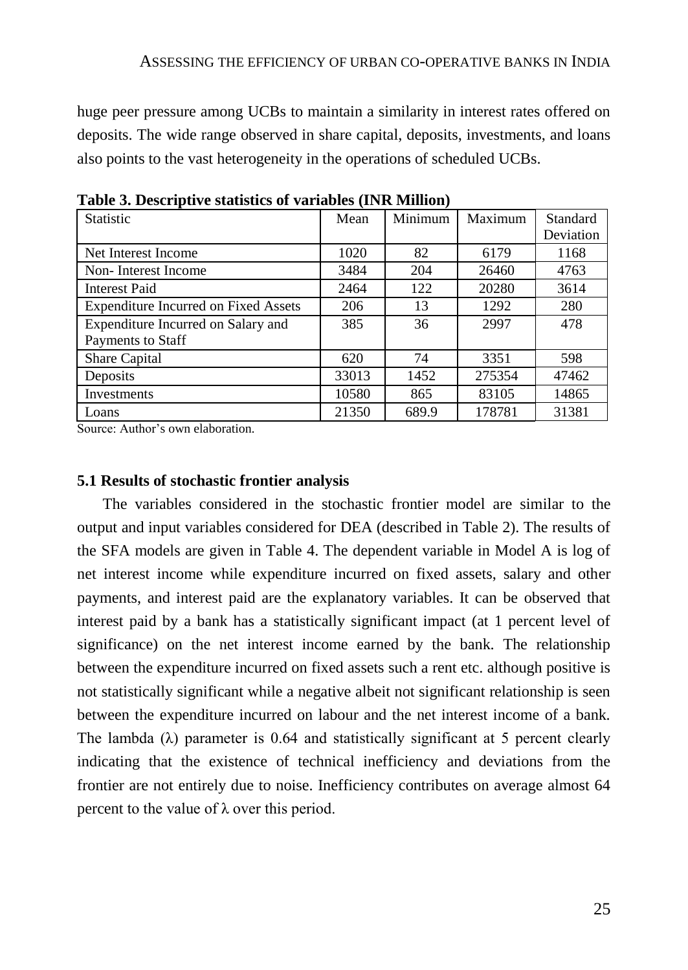huge peer pressure among UCBs to maintain a similarity in interest rates offered on deposits. The wide range observed in share capital, deposits, investments, and loans also points to the vast heterogeneity in the operations of scheduled UCBs.

| <b>Statistic</b>                            | Mean  | Minimum | Maximum | Standard  |
|---------------------------------------------|-------|---------|---------|-----------|
|                                             |       |         |         | Deviation |
| Net Interest Income                         | 1020  | 82      | 6179    | 1168      |
| Non-Interest Income                         | 3484  | 204     | 26460   | 4763      |
| <b>Interest Paid</b>                        | 2464  | 122     | 20280   | 3614      |
| <b>Expenditure Incurred on Fixed Assets</b> | 206   | 13      | 1292    | 280       |
| Expenditure Incurred on Salary and          | 385   | 36      | 2997    | 478       |
| Payments to Staff                           |       |         |         |           |
| Share Capital                               | 620   | 74      | 3351    | 598       |
| Deposits                                    | 33013 | 1452    | 275354  | 47462     |
| Investments                                 | 10580 | 865     | 83105   | 14865     |
| Loans                                       | 21350 | 689.9   | 178781  | 31381     |

**Table 3. Descriptive statistics of variables (INR Million)**

Source: Author's own elaboration.

#### **5.1 Results of stochastic frontier analysis**

The variables considered in the stochastic frontier model are similar to the output and input variables considered for DEA (described in Table 2). The results of the SFA models are given in Table 4. The dependent variable in Model A is log of net interest income while expenditure incurred on fixed assets, salary and other payments, and interest paid are the explanatory variables. It can be observed that interest paid by a bank has a statistically significant impact (at 1 percent level of significance) on the net interest income earned by the bank. The relationship between the expenditure incurred on fixed assets such a rent etc. although positive is not statistically significant while a negative albeit not significant relationship is seen between the expenditure incurred on labour and the net interest income of a bank. The lambda  $(\lambda)$  parameter is 0.64 and statistically significant at 5 percent clearly indicating that the existence of technical inefficiency and deviations from the frontier are not entirely due to noise. Inefficiency contributes on average almost 64 percent to the value of  $λ$  over this period.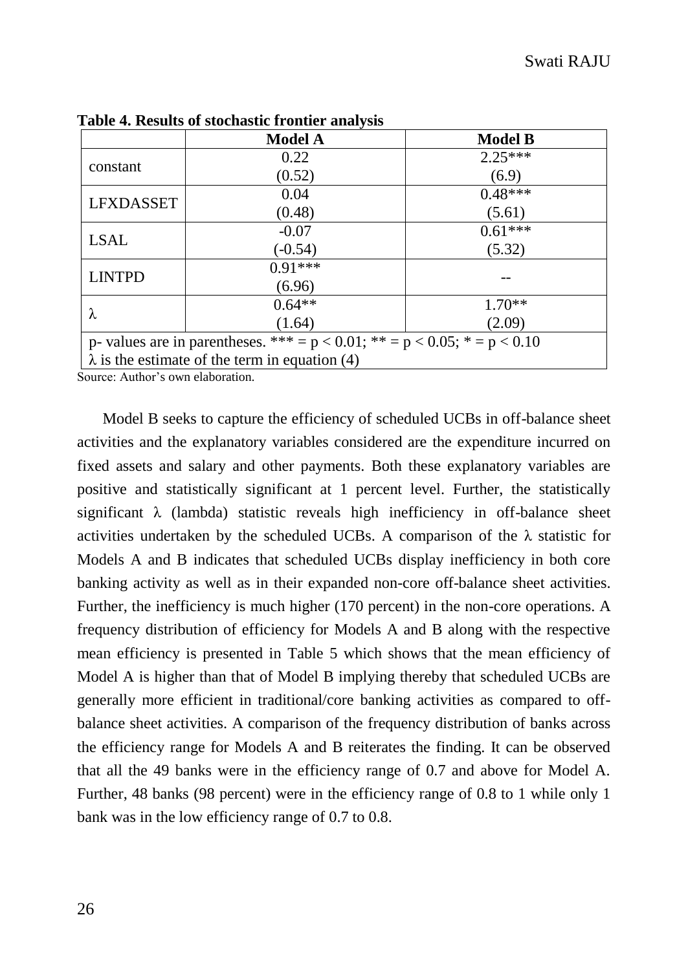|                  | <b>Model A</b>                                                                  | <b>Model B</b> |  |  |  |  |
|------------------|---------------------------------------------------------------------------------|----------------|--|--|--|--|
|                  | 0.22                                                                            | $2.25***$      |  |  |  |  |
| constant         | (0.52)                                                                          | (6.9)          |  |  |  |  |
| <b>LFXDASSET</b> | 0.04                                                                            | $0.48***$      |  |  |  |  |
|                  | (0.48)                                                                          | (5.61)         |  |  |  |  |
| <b>LSAL</b>      | $-0.07$                                                                         | $0.61***$      |  |  |  |  |
|                  | $(-0.54)$                                                                       | (5.32)         |  |  |  |  |
| <b>LINTPD</b>    | $0.91***$                                                                       |                |  |  |  |  |
|                  | (6.96)                                                                          |                |  |  |  |  |
|                  | $0.64**$                                                                        | $1.70**$       |  |  |  |  |
| λ                | (1.64)                                                                          | (2.09)         |  |  |  |  |
|                  | p- values are in parentheses. *** = $p$ < 0.01; ** = $p$ < 0.05; * = $p$ < 0.10 |                |  |  |  |  |
|                  | $\lambda$ is the estimate of the term in equation (4)                           |                |  |  |  |  |

**Table 4. Results of stochastic frontier analysis** 

Source: Author's own elaboration.

Model B seeks to capture the efficiency of scheduled UCBs in off-balance sheet activities and the explanatory variables considered are the expenditure incurred on fixed assets and salary and other payments. Both these explanatory variables are positive and statistically significant at 1 percent level. Further, the statistically significant  $\lambda$  (lambda) statistic reveals high inefficiency in off-balance sheet activities undertaken by the scheduled UCBs. A comparison of the  $\lambda$  statistic for Models A and B indicates that scheduled UCBs display inefficiency in both core banking activity as well as in their expanded non-core off-balance sheet activities. Further, the inefficiency is much higher (170 percent) in the non-core operations. A frequency distribution of efficiency for Models A and B along with the respective mean efficiency is presented in Table 5 which shows that the mean efficiency of Model A is higher than that of Model B implying thereby that scheduled UCBs are generally more efficient in traditional/core banking activities as compared to offbalance sheet activities. A comparison of the frequency distribution of banks across the efficiency range for Models A and B reiterates the finding. It can be observed that all the 49 banks were in the efficiency range of 0.7 and above for Model A. Further, 48 banks (98 percent) were in the efficiency range of 0.8 to 1 while only 1 bank was in the low efficiency range of 0.7 to 0.8.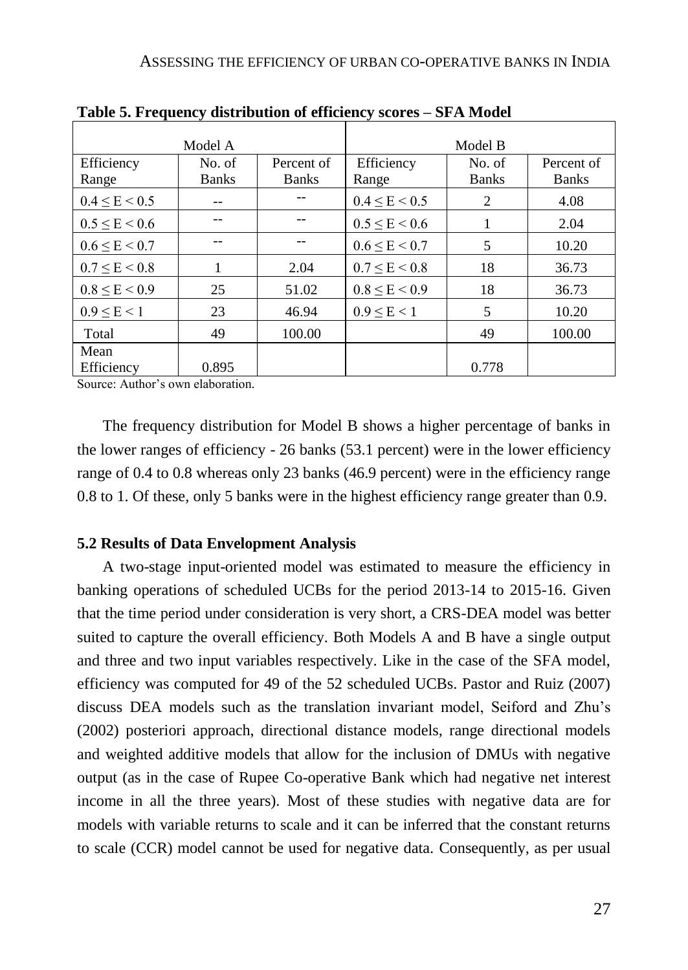|                     | Model A                |                            |                     | Model B                |                            |
|---------------------|------------------------|----------------------------|---------------------|------------------------|----------------------------|
| Efficiency<br>Range | No. of<br><b>Banks</b> | Percent of<br><b>Banks</b> | Efficiency<br>Range | No. of<br><b>Banks</b> | Percent of<br><b>Banks</b> |
| $0.4 \le E \le 0.5$ |                        |                            | $0.4 \le E \le 0.5$ | 2                      | 4.08                       |
| $0.5 \le E \le 0.6$ |                        |                            | $0.5 \le E \le 0.6$ |                        | 2.04                       |
| $0.6 \le E \le 0.7$ |                        |                            | $0.6 \le E \le 0.7$ | 5                      | 10.20                      |
| $0.7 \le E \le 0.8$ |                        | 2.04                       | $0.7 \le E \le 0.8$ | 18                     | 36.73                      |
| $0.8 \le E \le 0.9$ | 25                     | 51.02                      | $0.8 \le E \le 0.9$ | 18                     | 36.73                      |
| $0.9 \le E \le 1$   | 23                     | 46.94                      | $0.9 \le E \le 1$   | 5                      | 10.20                      |
| Total               | 49                     | 100.00                     |                     | 49                     | 100.00                     |
| Mean<br>Efficiency  | 0.895                  |                            |                     | 0.778                  |                            |

**Table 5. Frequency distribution of efficiency scores – SFA Model**

Source: Author's own elaboration.

The frequency distribution for Model B shows a higher percentage of banks in the lower ranges of efficiency - 26 banks (53.1 percent) were in the lower efficiency range of 0.4 to 0.8 whereas only 23 banks (46.9 percent) were in the efficiency range 0.8 to 1. Of these*,* only 5 banks were in the highest efficiency range greater than 0.9.

## **5.2 Results of Data Envelopment Analysis**

A two-stage input-oriented model was estimated to measure the efficiency in banking operations of scheduled UCBs for the period 2013-14 to 2015-16. Given that the time period under consideration is very short, a CRS-DEA model was better suited to capture the overall efficiency. Both Models A and B have a single output and three and two input variables respectively. Like in the case of the SFA model, efficiency was computed for 49 of the 52 scheduled UCBs. Pastor and Ruiz (2007) discuss DEA models such as the translation invariant model, Seiford and Zhu's (2002) posteriori approach, directional distance models, range directional models and weighted additive models that allow for the inclusion of DMUs with negative output (as in the case of Rupee Co-operative Bank which had negative net interest income in all the three years). Most of these studies with negative data are for models with variable returns to scale and it can be inferred that the constant returns to scale (CCR) model cannot be used for negative data. Consequently, as per usual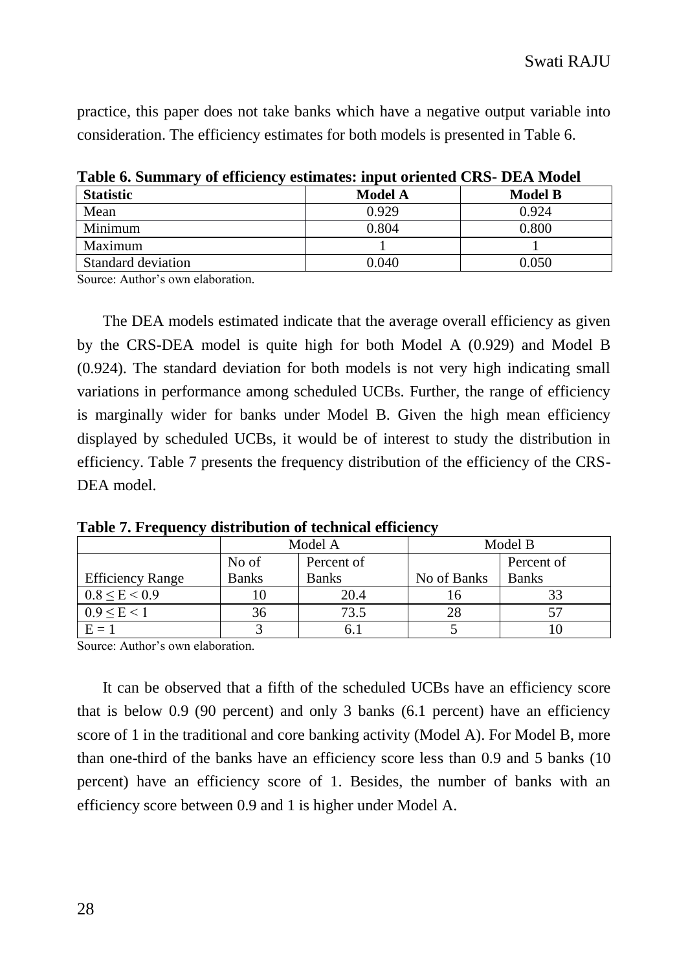practice, this paper does not take banks which have a negative output variable into consideration. The efficiency estimates for both models is presented in Table 6.

| Table 0. Building v of chickenev estimates. Input offenica City- DEA Model |         |                |
|----------------------------------------------------------------------------|---------|----------------|
| <b>Statistic</b>                                                           | Model A | <b>Model B</b> |
| Mean                                                                       | 0.929   | 0.924          |
| Minimum                                                                    | 0.804   | 0.800          |
| Maximum                                                                    |         |                |
| Standard deviation                                                         | 0.040   | 0.050          |

**Table 6. Summary of efficiency estimates: input oriented CRS- DEA Model**

Source: Author's own elaboration.

The DEA models estimated indicate that the average overall efficiency as given by the CRS-DEA model is quite high for both Model A (0.929) and Model B (0.924). The standard deviation for both models is not very high indicating small variations in performance among scheduled UCBs. Further, the range of efficiency is marginally wider for banks under Model B. Given the high mean efficiency displayed by scheduled UCBs, it would be of interest to study the distribution in efficiency. Table 7 presents the frequency distribution of the efficiency of the CRS-DEA model

|                         |                     | Model A      | Model B     |              |  |
|-------------------------|---------------------|--------------|-------------|--------------|--|
|                         | No of<br>Percent of |              |             | Percent of   |  |
| <b>Efficiency Range</b> | <b>Banks</b>        | <b>Banks</b> | No of Banks | <b>Banks</b> |  |
| $0.8 \le E \le 0.9$     |                     | 20.4         |             |              |  |
| $0.9 \le E \le 1$       | 36                  | 73.5         | 28          |              |  |
| $E = 1$                 |                     | O. J         |             |              |  |

**Table 7. Frequency distribution of technical efficiency**

Source: Author's own elaboration.

It can be observed that a fifth of the scheduled UCBs have an efficiency score that is below 0.9 (90 percent) and only 3 banks (6.1 percent) have an efficiency score of 1 in the traditional and core banking activity (Model A). For Model B, more than one-third of the banks have an efficiency score less than 0.9 and 5 banks (10 percent) have an efficiency score of 1. Besides, the number of banks with an efficiency score between 0.9 and 1 is higher under Model A.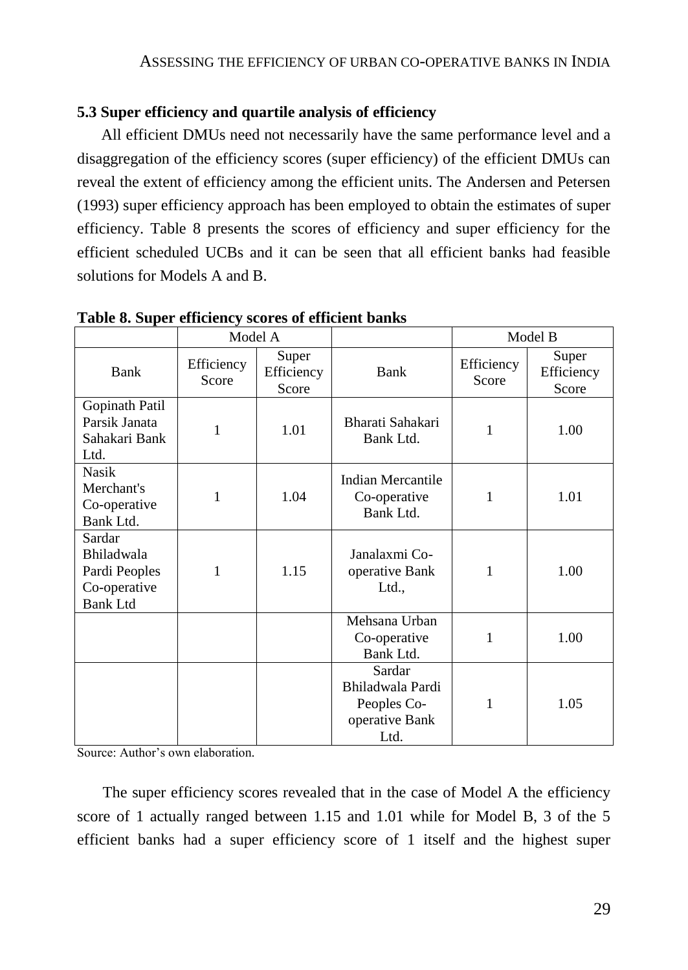# **5.3 Super efficiency and quartile analysis of efficiency**

All efficient DMUs need not necessarily have the same performance level and a disaggregation of the efficiency scores (super efficiency) of the efficient DMUs can reveal the extent of efficiency among the efficient units. The Andersen and Petersen (1993) super efficiency approach has been employed to obtain the estimates of super efficiency. Table 8 presents the scores of efficiency and super efficiency for the efficient scheduled UCBs and it can be seen that all efficient banks had feasible solutions for Models A and B.

|                                                                          | Model A             |                              |                                                                     | Model B             |                              |
|--------------------------------------------------------------------------|---------------------|------------------------------|---------------------------------------------------------------------|---------------------|------------------------------|
| Bank                                                                     | Efficiency<br>Score | Super<br>Efficiency<br>Score | Bank                                                                | Efficiency<br>Score | Super<br>Efficiency<br>Score |
| Gopinath Patil<br>Parsik Janata<br>Sahakari Bank<br>Ltd.                 | 1                   | 1.01                         | Bharati Sahakari<br>Bank Ltd.                                       | 1                   | 1.00                         |
| <b>Nasik</b><br>Merchant's<br>Co-operative<br>Bank Ltd.                  | 1                   | 1.04                         | Indian Mercantile<br>Co-operative<br>Bank Ltd.                      | 1                   | 1.01                         |
| Sardar<br>Bhiladwala<br>Pardi Peoples<br>Co-operative<br><b>Bank Ltd</b> | 1                   | 1.15                         | Janalaxmi Co-<br>operative Bank<br>Ltd.,                            | 1                   | 1.00                         |
|                                                                          |                     |                              | Mehsana Urban<br>Co-operative<br>Bank Ltd.                          | 1                   | 1.00                         |
|                                                                          |                     |                              | Sardar<br>Bhiladwala Pardi<br>Peoples Co-<br>operative Bank<br>Ltd. | 1                   | 1.05                         |

**Table 8. Super efficiency scores of efficient banks**

Source: Author's own elaboration.

The super efficiency scores revealed that in the case of Model A the efficiency score of 1 actually ranged between 1.15 and 1.01 while for Model B, 3 of the 5 efficient banks had a super efficiency score of 1 itself and the highest super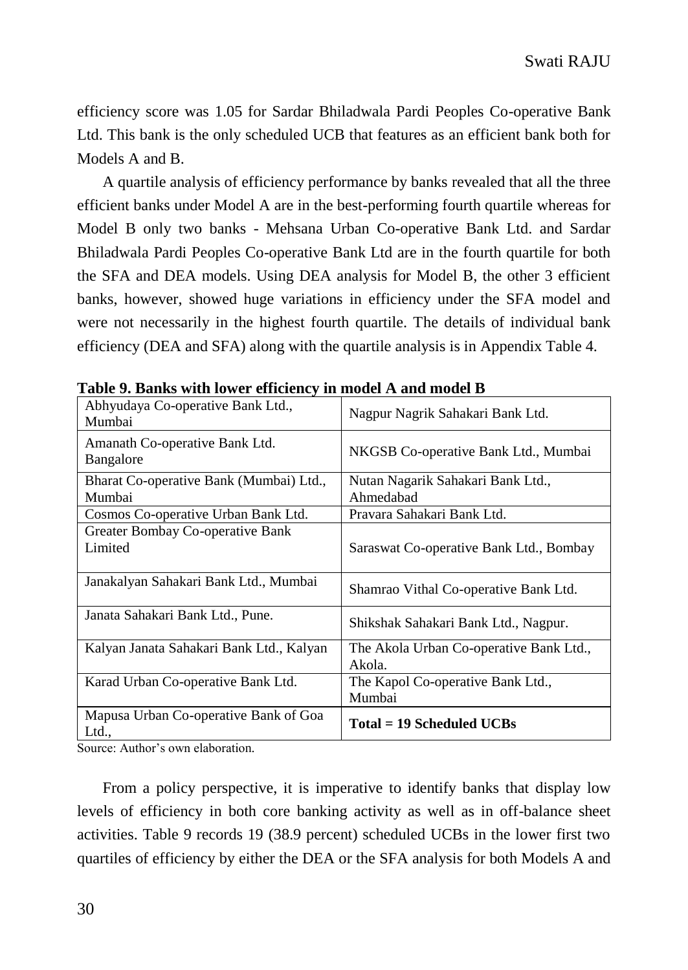efficiency score was 1.05 for Sardar Bhiladwala Pardi Peoples Co-operative Bank Ltd. This bank is the only scheduled UCB that features as an efficient bank both for Models A and B.

A quartile analysis of efficiency performance by banks revealed that all the three efficient banks under Model A are in the best-performing fourth quartile whereas for Model B only two banks - Mehsana Urban Co-operative Bank Ltd. and Sardar Bhiladwala Pardi Peoples Co-operative Bank Ltd are in the fourth quartile for both the SFA and DEA models. Using DEA analysis for Model B, the other 3 efficient banks, however, showed huge variations in efficiency under the SFA model and were not necessarily in the highest fourth quartile. The details of individual bank efficiency (DEA and SFA) along with the quartile analysis is in Appendix Table 4.

| Abhyudaya Co-operative Bank Ltd.,<br>Mumbai       | Nagpur Nagrik Sahakari Bank Ltd.                  |
|---------------------------------------------------|---------------------------------------------------|
| Amanath Co-operative Bank Ltd.<br>Bangalore       | NKGSB Co-operative Bank Ltd., Mumbai              |
| Bharat Co-operative Bank (Mumbai) Ltd.,<br>Mumbai | Nutan Nagarik Sahakari Bank Ltd.,<br>Ahmedabad    |
| Cosmos Co-operative Urban Bank Ltd.               | Pravara Sahakari Bank Ltd.                        |
| Greater Bombay Co-operative Bank<br>Limited       | Saraswat Co-operative Bank Ltd., Bombay           |
| Janakalyan Sahakari Bank Ltd., Mumbai             | Shamrao Vithal Co-operative Bank Ltd.             |
| Janata Sahakari Bank Ltd., Pune.                  | Shikshak Sahakari Bank Ltd., Nagpur.              |
| Kalyan Janata Sahakari Bank Ltd., Kalyan          | The Akola Urban Co-operative Bank Ltd.,<br>Akola. |
| Karad Urban Co-operative Bank Ltd.                | The Kapol Co-operative Bank Ltd.,<br>Mumbai       |
| Mapusa Urban Co-operative Bank of Goa<br>Ltd.,    | $Total = 19$ Scheduled UCBs                       |

**Table 9. Banks with lower efficiency in model A and model B**

Source: Author's own elaboration.

From a policy perspective, it is imperative to identify banks that display low levels of efficiency in both core banking activity as well as in off-balance sheet activities. Table 9 records 19 (38.9 percent) scheduled UCBs in the lower first two quartiles of efficiency by either the DEA or the SFA analysis for both Models A and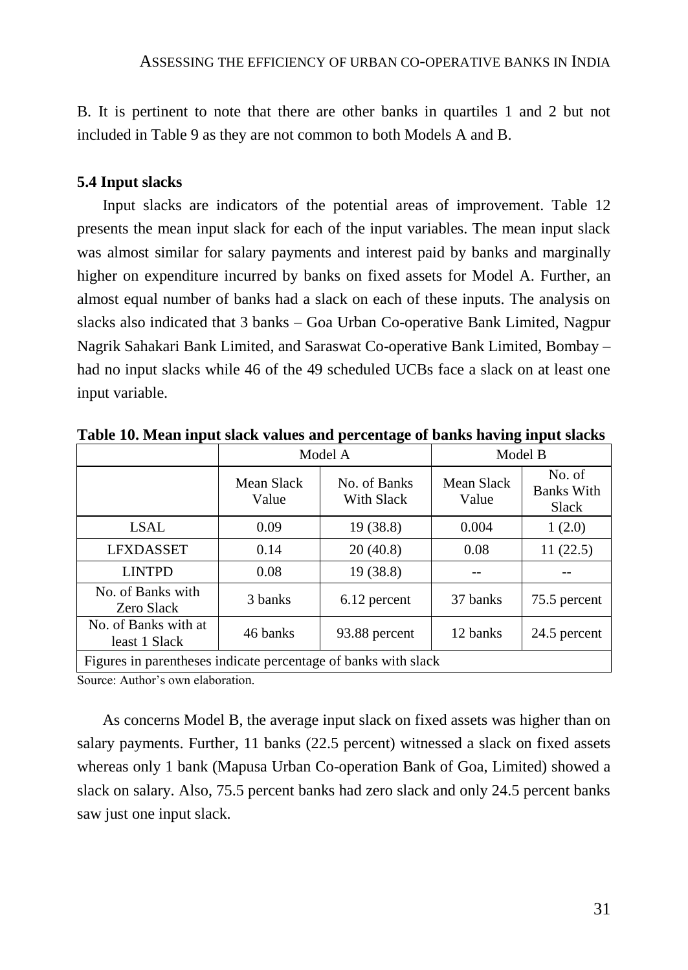B. It is pertinent to note that there are other banks in quartiles 1 and 2 but not included in Table 9 as they are not common to both Models A and B.

## **5.4 Input slacks**

Input slacks are indicators of the potential areas of improvement. Table 12 presents the mean input slack for each of the input variables. The mean input slack was almost similar for salary payments and interest paid by banks and marginally higher on expenditure incurred by banks on fixed assets for Model A. Further, an almost equal number of banks had a slack on each of these inputs. The analysis on slacks also indicated that 3 banks – Goa Urban Co-operative Bank Limited, Nagpur Nagrik Sahakari Bank Limited, and Saraswat Co-operative Bank Limited, Bombay – had no input slacks while 46 of the 49 scheduled UCBs face a slack on at least one input variable.

|                                                                |                     | Model A                    | Model B             |                                      |  |  |
|----------------------------------------------------------------|---------------------|----------------------------|---------------------|--------------------------------------|--|--|
|                                                                | Mean Slack<br>Value | No. of Banks<br>With Slack | Mean Slack<br>Value | No. of<br><b>Banks With</b><br>Slack |  |  |
| <b>LSAL</b>                                                    | 0.09                | 19 (38.8)                  | 0.004               | 1(2.0)                               |  |  |
| <b>LFXDASSET</b>                                               | 0.14                | 20(40.8)                   | 0.08                | 11(22.5)                             |  |  |
| <b>LINTPD</b>                                                  | 0.08                | 19(38.8)                   |                     |                                      |  |  |
| No. of Banks with<br>Zero Slack                                | 3 banks             | 6.12 percent               | 37 banks            | 75.5 percent                         |  |  |
| No. of Banks with at<br>least 1 Slack                          | 46 banks            | 93.88 percent              | 12 banks            | 24.5 percent                         |  |  |
| Figures in parentheses indicate percentage of banks with slack |                     |                            |                     |                                      |  |  |

**Table 10. Mean input slack values and percentage of banks having input slacks**

Source: Author's own elaboration.

As concerns Model B, the average input slack on fixed assets was higher than on salary payments. Further, 11 banks (22.5 percent) witnessed a slack on fixed assets whereas only 1 bank (Mapusa Urban Co-operation Bank of Goa, Limited) showed a slack on salary. Also, 75.5 percent banks had zero slack and only 24.5 percent banks saw just one input slack.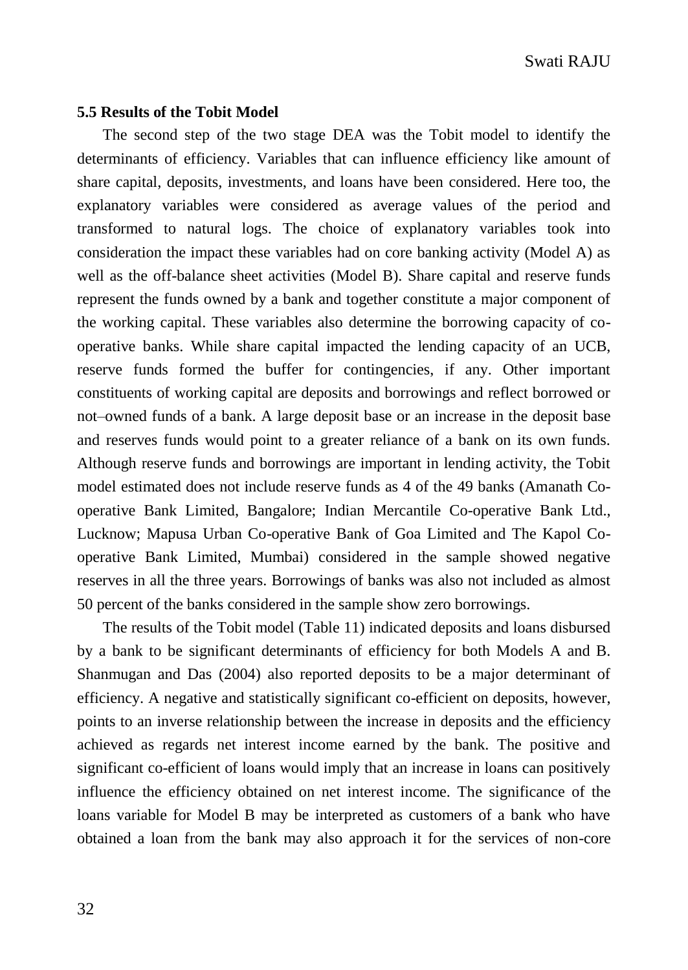#### **5.5 Results of the Tobit Model**

The second step of the two stage DEA was the Tobit model to identify the determinants of efficiency. Variables that can influence efficiency like amount of share capital, deposits, investments, and loans have been considered. Here too, the explanatory variables were considered as average values of the period and transformed to natural logs. The choice of explanatory variables took into consideration the impact these variables had on core banking activity (Model A) as well as the off-balance sheet activities (Model B). Share capital and reserve funds represent the funds owned by a bank and together constitute a major component of the working capital. These variables also determine the borrowing capacity of cooperative banks. While share capital impacted the lending capacity of an UCB, reserve funds formed the buffer for contingencies, if any. Other important constituents of working capital are deposits and borrowings and reflect borrowed or not–owned funds of a bank. A large deposit base or an increase in the deposit base and reserves funds would point to a greater reliance of a bank on its own funds. Although reserve funds and borrowings are important in lending activity, the Tobit model estimated does not include reserve funds as 4 of the 49 banks (Amanath Cooperative Bank Limited, Bangalore; Indian Mercantile Co-operative Bank Ltd., Lucknow; Mapusa Urban Co-operative Bank of Goa Limited and The Kapol Cooperative Bank Limited, Mumbai) considered in the sample showed negative reserves in all the three years. Borrowings of banks was also not included as almost 50 percent of the banks considered in the sample show zero borrowings.

The results of the Tobit model (Table 11) indicated deposits and loans disbursed by a bank to be significant determinants of efficiency for both Models A and B. Shanmugan and Das (2004) also reported deposits to be a major determinant of efficiency. A negative and statistically significant co-efficient on deposits, however, points to an inverse relationship between the increase in deposits and the efficiency achieved as regards net interest income earned by the bank. The positive and significant co-efficient of loans would imply that an increase in loans can positively influence the efficiency obtained on net interest income. The significance of the loans variable for Model B may be interpreted as customers of a bank who have obtained a loan from the bank may also approach it for the services of non-core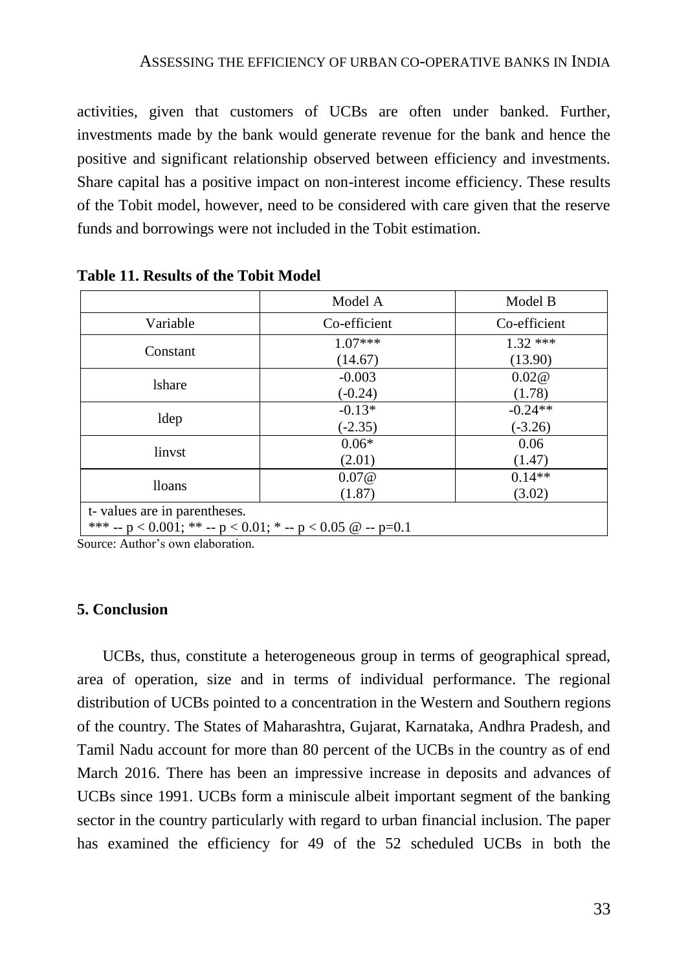activities, given that customers of UCBs are often under banked. Further, investments made by the bank would generate revenue for the bank and hence the positive and significant relationship observed between efficiency and investments. Share capital has a positive impact on non-interest income efficiency. These results of the Tobit model, however, need to be considered with care given that the reserve funds and borrowings were not included in the Tobit estimation.

|                              | Model A                                                       | Model B      |
|------------------------------|---------------------------------------------------------------|--------------|
| Variable                     | Co-efficient                                                  | Co-efficient |
| Constant                     | $1.07***$                                                     | $1.32$ ***   |
|                              | (14.67)                                                       | (13.90)      |
| <b>l</b> share               | $-0.003$                                                      | 0.02@        |
|                              | $(-0.24)$                                                     | (1.78)       |
|                              | $-0.13*$                                                      | $-0.24**$    |
| ldep                         | $(-2.35)$                                                     | $(-3.26)$    |
|                              | $0.06*$                                                       | 0.06         |
| linvst                       | (2.01)                                                        | (1.47)       |
|                              | 0.07@                                                         | $0.14**$     |
| <b>lloans</b>                | (1.87)                                                        | (3.02)       |
| t-values are in parentheses. |                                                               |              |
|                              | *** -- p < 0.001; ** -- p < 0.01; * -- p < 0.05 $@ - p = 0.1$ |              |

**Table 11. Results of the Tobit Model**

Source: Author's own elaboration.

#### **5. Conclusion**

UCBs, thus, constitute a heterogeneous group in terms of geographical spread, area of operation, size and in terms of individual performance. The regional distribution of UCBs pointed to a concentration in the Western and Southern regions of the country. The States of Maharashtra, Gujarat, Karnataka, Andhra Pradesh, and Tamil Nadu account for more than 80 percent of the UCBs in the country as of end March 2016. There has been an impressive increase in deposits and advances of UCBs since 1991. UCBs form a miniscule albeit important segment of the banking sector in the country particularly with regard to urban financial inclusion. The paper has examined the efficiency for 49 of the 52 scheduled UCBs in both the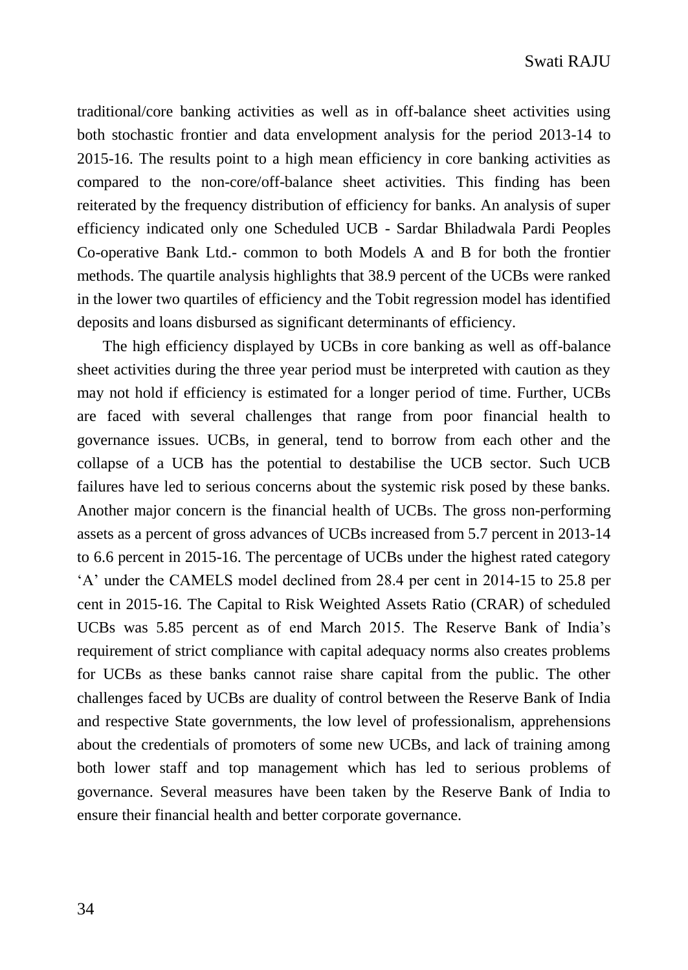traditional/core banking activities as well as in off-balance sheet activities using both stochastic frontier and data envelopment analysis for the period 2013-14 to 2015-16. The results point to a high mean efficiency in core banking activities as compared to the non-core/off-balance sheet activities. This finding has been reiterated by the frequency distribution of efficiency for banks. An analysis of super efficiency indicated only one Scheduled UCB - Sardar Bhiladwala Pardi Peoples Co-operative Bank Ltd.- common to both Models A and B for both the frontier methods. The quartile analysis highlights that 38.9 percent of the UCBs were ranked in the lower two quartiles of efficiency and the Tobit regression model has identified deposits and loans disbursed as significant determinants of efficiency.

The high efficiency displayed by UCBs in core banking as well as off-balance sheet activities during the three year period must be interpreted with caution as they may not hold if efficiency is estimated for a longer period of time. Further, UCBs are faced with several challenges that range from poor financial health to governance issues. UCBs, in general, tend to borrow from each other and the collapse of a UCB has the potential to destabilise the UCB sector. Such UCB failures have led to serious concerns about the systemic risk posed by these banks. Another major concern is the financial health of UCBs. The gross non-performing assets as a percent of gross advances of UCBs increased from 5.7 percent in 2013-14 to 6.6 percent in 2015-16. The percentage of UCBs under the highest rated category 'A' under the CAMELS model declined from 28.4 per cent in 2014-15 to 25.8 per cent in 2015-16. The Capital to Risk Weighted Assets Ratio (CRAR) of scheduled UCBs was 5.85 percent as of end March 2015. The Reserve Bank of India's requirement of strict compliance with capital adequacy norms also creates problems for UCBs as these banks cannot raise share capital from the public. The other challenges faced by UCBs are duality of control between the Reserve Bank of India and respective State governments, the low level of professionalism, apprehensions about the credentials of promoters of some new UCBs, and lack of training among both lower staff and top management which has led to serious problems of governance. Several measures have been taken by the Reserve Bank of India to ensure their financial health and better corporate governance.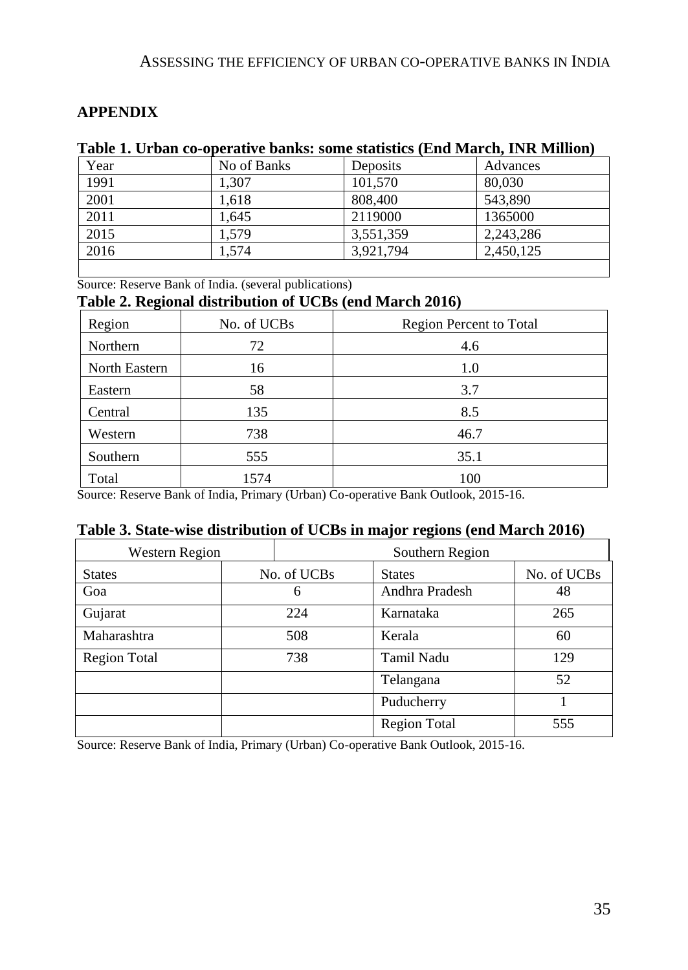## ASSESSING THE EFFICIENCY OF URBAN CO-OPERATIVE BANKS IN INDIA

## **APPENDIX**

## **Table 1. Urban co-operative banks: some statistics (End March, INR Million)**

| Year | No of Banks | Deposits  | Advances  |
|------|-------------|-----------|-----------|
| 1991 | 1.307       | 101,570   | 80,030    |
| 2001 | 1.618       | 808,400   | 543.890   |
| 2011 | 1.645       | 2119000   | 1365000   |
| 2015 | 1.579       | 3,551,359 | 2,243,286 |
| 2016 | 1.574       | 3,921,794 | 2,450,125 |

Source: Reserve Bank of India. (several publications)

## **Table 2. Regional distribution of UCBs (end March 2016)**

| Region        | No. of UCBs | <b>Region Percent to Total</b> |
|---------------|-------------|--------------------------------|
| Northern      | 72          | 4.6                            |
| North Eastern | 16          | 1.0                            |
| Eastern       | 58          | 3.7                            |
| Central       | 135         | 8.5                            |
| Western       | 738         | 46.7                           |
| Southern      | 555         | 35.1                           |
| Total         | 1574        | 100                            |

Source: Reserve Bank of India, Primary (Urban) Co-operative Bank Outlook, 2015-16.

# **Table 3. State-wise distribution of UCBs in major regions (end March 2016)**

| Western Region      |     | Southern Region |                     |             |  |  |
|---------------------|-----|-----------------|---------------------|-------------|--|--|
| <b>States</b>       |     | No. of UCBs     | <b>States</b>       | No. of UCBs |  |  |
| Goa                 |     | 6               | Andhra Pradesh      | 48          |  |  |
| Gujarat             | 224 |                 | Karnataka           | 265         |  |  |
| Maharashtra         |     | 508             | Kerala              | 60          |  |  |
| <b>Region Total</b> |     | 738             | Tamil Nadu          | 129         |  |  |
|                     |     |                 | Telangana           | 52          |  |  |
|                     |     |                 | Puducherry          |             |  |  |
|                     |     |                 | <b>Region Total</b> | 555         |  |  |

Source: Reserve Bank of India, Primary (Urban) Co-operative Bank Outlook, 2015-16.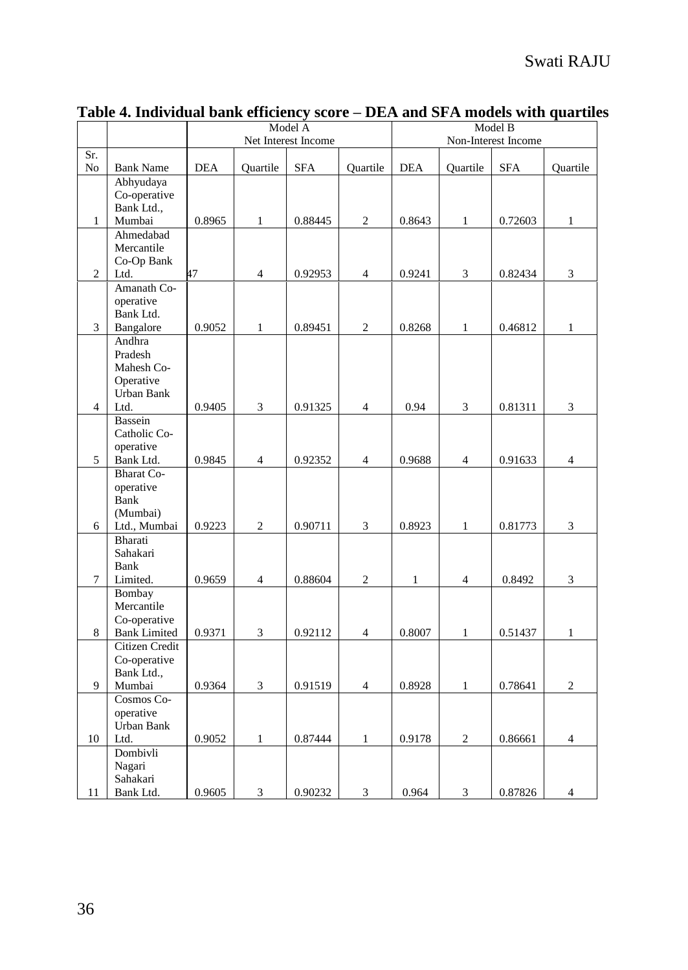|                |                                     |            |                | Model A             |                | Model B      |                |                     |                |
|----------------|-------------------------------------|------------|----------------|---------------------|----------------|--------------|----------------|---------------------|----------------|
|                |                                     |            |                | Net Interest Income |                |              |                | Non-Interest Income |                |
| Sr.<br>No      | <b>Bank Name</b>                    | <b>DEA</b> | Quartile       | <b>SFA</b>          | Quartile       | <b>DEA</b>   | Quartile       | <b>SFA</b>          | Quartile       |
|                | Abhyudaya                           |            |                |                     |                |              |                |                     |                |
|                | Co-operative                        |            |                |                     |                |              |                |                     |                |
|                | Bank Ltd.,                          |            |                |                     |                |              |                |                     |                |
| $\mathbf{1}$   | Mumbai                              | 0.8965     | $\mathbf{1}$   | 0.88445             | $\overline{c}$ | 0.8643       | $\mathbf{1}$   | 0.72603             | $\mathbf{1}$   |
|                | Ahmedabad<br>Mercantile             |            |                |                     |                |              |                |                     |                |
|                | Co-Op Bank                          |            |                |                     |                |              |                |                     |                |
| 2              | Ltd.                                | 47         | $\overline{4}$ | 0.92953             | $\overline{4}$ | 0.9241       | 3              | 0.82434             | 3              |
|                | Amanath Co-                         |            |                |                     |                |              |                |                     |                |
|                | operative                           |            |                |                     |                |              |                |                     |                |
|                | Bank Ltd.                           |            |                |                     |                |              |                |                     |                |
| 3              | Bangalore                           | 0.9052     | $\mathbf{1}$   | 0.89451             | $\mathfrak{2}$ | 0.8268       | $\mathbf{1}$   | 0.46812             | $\mathbf{1}$   |
|                | Andhra                              |            |                |                     |                |              |                |                     |                |
|                | Pradesh                             |            |                |                     |                |              |                |                     |                |
|                | Mahesh Co-<br>Operative             |            |                |                     |                |              |                |                     |                |
|                | Urban Bank                          |            |                |                     |                |              |                |                     |                |
| $\overline{4}$ | Ltd.                                | 0.9405     | 3              | 0.91325             | 4              | 0.94         | 3              | 0.81311             | 3              |
|                | <b>Bassein</b>                      |            |                |                     |                |              |                |                     |                |
|                | Catholic Co-                        |            |                |                     |                |              |                |                     |                |
|                | operative                           |            |                |                     |                |              |                |                     |                |
| 5              | Bank Ltd.                           | 0.9845     | $\overline{4}$ | 0.92352             | $\overline{4}$ | 0.9688       | $\overline{4}$ | 0.91633             | $\overline{4}$ |
|                | <b>Bharat</b> Co-                   |            |                |                     |                |              |                |                     |                |
|                | operative<br>Bank                   |            |                |                     |                |              |                |                     |                |
|                | (Mumbai)                            |            |                |                     |                |              |                |                     |                |
| 6              | Ltd., Mumbai                        | 0.9223     | $\sqrt{2}$     | 0.90711             | 3              | 0.8923       | $\mathbf{1}$   | 0.81773             | 3              |
|                | Bharati                             |            |                |                     |                |              |                |                     |                |
|                | Sahakari                            |            |                |                     |                |              |                |                     |                |
|                | Bank                                |            |                |                     |                |              |                |                     |                |
| 7              | Limited.                            | 0.9659     | 4              | 0.88604             | $\overline{c}$ | $\mathbf{1}$ | $\overline{4}$ | 0.8492              | 3              |
|                | Bombay                              |            |                |                     |                |              |                |                     |                |
|                | Mercantile                          |            |                |                     |                |              |                |                     |                |
| 8              | Co-operative<br><b>Bank</b> Limited | 0.9371     | 3              | 0.92112             | 4              | 0.8007       | $\mathbf{1}$   | 0.51437             | $\mathbf{1}$   |
|                | Citizen Credit                      |            |                |                     |                |              |                |                     |                |
|                | Co-operative                        |            |                |                     |                |              |                |                     |                |
|                | Bank Ltd.,                          |            |                |                     |                |              |                |                     |                |
| 9              | Mumbai                              | 0.9364     | 3              | 0.91519             | $\overline{4}$ | 0.8928       | $\mathbf{1}$   | 0.78641             | $\overline{c}$ |
|                | Cosmos Co-                          |            |                |                     |                |              |                |                     |                |
|                | operative                           |            |                |                     |                |              |                |                     |                |
|                | Urban Bank                          |            |                |                     |                |              |                |                     |                |
| 10             | Ltd.<br>Dombivli                    | 0.9052     | $\mathbf{1}$   | 0.87444             | $\mathbf{1}$   | 0.9178       | $\overline{c}$ | 0.86661             | $\overline{4}$ |
|                | Nagari                              |            |                |                     |                |              |                |                     |                |
|                | Sahakari                            |            |                |                     |                |              |                |                     |                |
| 11             | Bank Ltd.                           | 0.9605     | 3              | 0.90232             | 3              | 0.964        | 3              | 0.87826             | $\overline{4}$ |

# **Table 4. Individual bank efficiency score – DEA and SFA models with quartiles**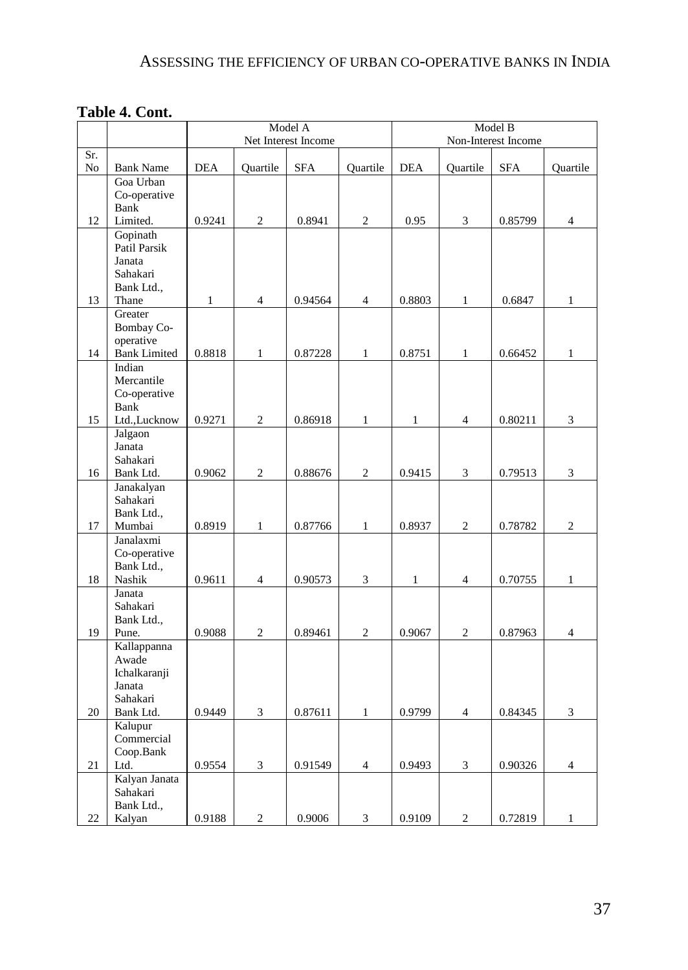# ASSESSING THE EFFICIENCY OF URBAN CO-OPERATIVE BANKS IN INDIA

# **Table 4. Cont.**

|           |                                                                         | Model A      |                |                     |                | Model B      |                |                     |                |
|-----------|-------------------------------------------------------------------------|--------------|----------------|---------------------|----------------|--------------|----------------|---------------------|----------------|
|           |                                                                         |              |                | Net Interest Income |                |              |                | Non-Interest Income |                |
| Sr.<br>No | <b>Bank Name</b>                                                        | <b>DEA</b>   | Quartile       | <b>SFA</b>          | Quartile       | <b>DEA</b>   | Quartile       | <b>SFA</b>          | Quartile       |
|           | Goa Urban<br>Co-operative<br><b>Bank</b>                                |              |                |                     |                |              |                |                     |                |
| 12        | Limited.                                                                | 0.9241       | $\overline{c}$ | 0.8941              | $\overline{c}$ | 0.95         | 3              | 0.85799             | $\overline{4}$ |
|           | Gopinath<br>Patil Parsik<br>Janata<br>Sahakari<br>Bank Ltd.,            |              |                |                     |                |              |                |                     |                |
| 13        | Thane                                                                   | $\mathbf{1}$ | $\overline{4}$ | 0.94564             | $\overline{4}$ | 0.8803       | $\mathbf{1}$   | 0.6847              | $\mathbf{1}$   |
| 14        | Greater<br><b>Bombay Co-</b><br>operative<br><b>Bank Limited</b>        | 0.8818       | $\mathbf{1}$   | 0.87228             | $\mathbf{1}$   | 0.8751       | 1              | 0.66452             | $\mathbf{1}$   |
|           | Indian<br>Mercantile<br>Co-operative<br><b>Bank</b>                     |              |                |                     |                |              |                |                     |                |
| 15        | Ltd., Lucknow                                                           | 0.9271       | $\overline{c}$ | 0.86918             | $\mathbf{1}$   | 1            | $\overline{4}$ | 0.80211             | 3              |
| 16        | Jalgaon<br>Janata<br>Sahakari<br>Bank Ltd.                              | 0.9062       | $\overline{c}$ | 0.88676             | $\overline{2}$ | 0.9415       | $\overline{3}$ | 0.79513             | $\overline{3}$ |
| 17        | Janakalyan<br>Sahakari<br>Bank Ltd.,<br>Mumbai                          | 0.8919       | $\mathbf{1}$   | 0.87766             | $\mathbf{1}$   | 0.8937       | 2              | 0.78782             | $\overline{c}$ |
| 18        | Janalaxmi<br>Co-operative<br>Bank Ltd.,<br>Nashik                       | 0.9611       | $\overline{4}$ | 0.90573             | 3              | $\mathbf{1}$ | $\overline{4}$ | 0.70755             | $\mathbf{1}$   |
| 19        | Janata<br>Sahakari<br>Bank Ltd.,<br>Pune.                               | 0.9088       | $\overline{c}$ | 0.89461             | $\overline{c}$ | 0.9067       | $\overline{c}$ | 0.87963             | $\overline{4}$ |
| 20        | Kallappanna<br>Awade<br>Ichalkaranji<br>Janata<br>Sahakari<br>Bank Ltd. | 0.9449       | 3              | 0.87611             | $\mathbf{1}$   | 0.9799       | $\overline{4}$ | 0.84345             | 3              |
| 21        | Kalupur<br>Commercial<br>Coop.Bank<br>Ltd.                              | 0.9554       | 3              | 0.91549             | $\overline{4}$ | 0.9493       | 3              | 0.90326             | $\overline{4}$ |
| 22        | Kalyan Janata<br>Sahakari<br>Bank Ltd.,<br>Kalyan                       | 0.9188       | $\overline{c}$ | 0.9006              | 3              | 0.9109       | 2              | 0.72819             | $\mathbf{1}$   |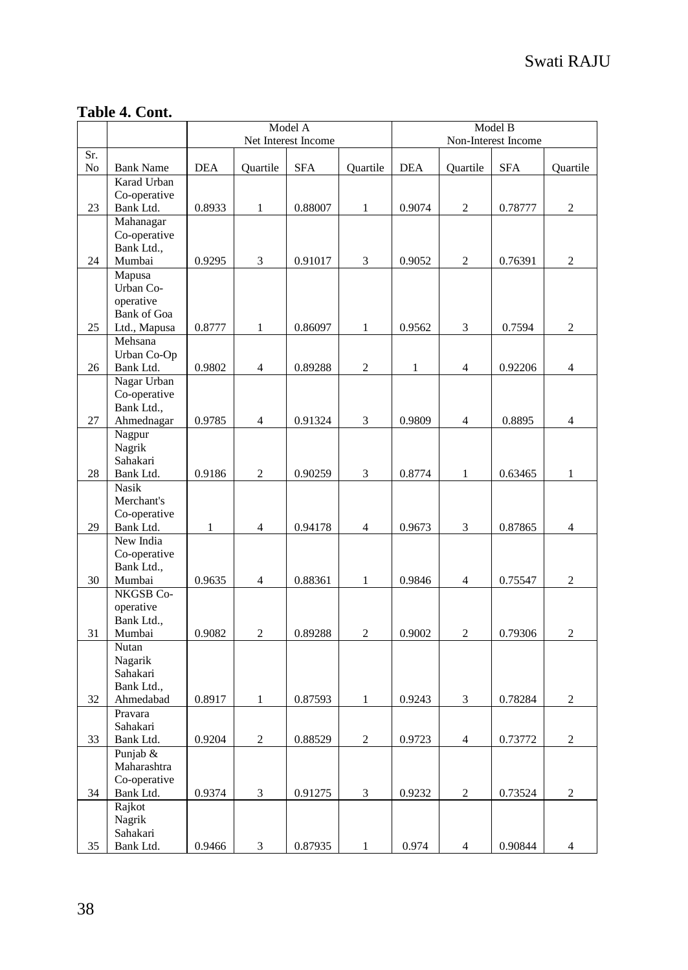|     |                                    | Model A<br>Net Interest Income |                |            |                |              | Model B<br>Non-Interest Income |            |                |  |
|-----|------------------------------------|--------------------------------|----------------|------------|----------------|--------------|--------------------------------|------------|----------------|--|
| Sr. |                                    |                                |                |            |                |              |                                |            |                |  |
| No  | <b>Bank Name</b><br>Karad Urban    | <b>DEA</b>                     | Ouartile       | <b>SFA</b> | Ouartile       | <b>DEA</b>   | Ouartile                       | <b>SFA</b> | Ouartile       |  |
|     | Co-operative                       |                                |                |            |                |              |                                |            |                |  |
| 23  | Bank Ltd.                          | 0.8933                         | 1              | 0.88007    | $\mathbf{1}$   | 0.9074       | $\mathfrak{2}$                 | 0.78777    | $\overline{c}$ |  |
|     | Mahanagar                          |                                |                |            |                |              |                                |            |                |  |
|     | Co-operative                       |                                |                |            |                |              |                                |            |                |  |
|     | Bank Ltd.,                         |                                |                |            |                |              |                                |            |                |  |
| 24  | Mumbai                             | 0.9295                         | 3              | 0.91017    | 3              | 0.9052       | $\overline{c}$                 | 0.76391    | $\overline{2}$ |  |
|     | Mapusa                             |                                |                |            |                |              |                                |            |                |  |
|     | Urban Co-                          |                                |                |            |                |              |                                |            |                |  |
|     | operative                          |                                |                |            |                |              |                                |            |                |  |
| 25  | <b>Bank of Goa</b><br>Ltd., Mapusa | 0.8777                         | $\mathbf{1}$   | 0.86097    | $\mathbf{1}$   | 0.9562       | 3                              | 0.7594     | $\overline{c}$ |  |
|     | Mehsana                            |                                |                |            |                |              |                                |            |                |  |
|     | Urban Co-Op                        |                                |                |            |                |              |                                |            |                |  |
| 26  | Bank Ltd.                          | 0.9802                         | $\overline{4}$ | 0.89288    | $\overline{c}$ | $\mathbf{1}$ | $\overline{4}$                 | 0.92206    | $\overline{4}$ |  |
|     | Nagar Urban                        |                                |                |            |                |              |                                |            |                |  |
|     | Co-operative                       |                                |                |            |                |              |                                |            |                |  |
|     | Bank Ltd.,                         |                                |                |            |                |              |                                |            |                |  |
| 27  | Ahmednagar                         | 0.9785                         | $\overline{4}$ | 0.91324    | 3              | 0.9809       | $\overline{4}$                 | 0.8895     | $\overline{4}$ |  |
|     | Nagpur                             |                                |                |            |                |              |                                |            |                |  |
|     | Nagrik                             |                                |                |            |                |              |                                |            |                |  |
|     | Sahakari                           |                                |                |            |                |              |                                |            |                |  |
| 28  | Bank Ltd.<br><b>Nasik</b>          | 0.9186                         | $\overline{2}$ | 0.90259    | 3              | 0.8774       | $\mathbf{1}$                   | 0.63465    | $\mathbf{1}$   |  |
|     | Merchant's                         |                                |                |            |                |              |                                |            |                |  |
|     | Co-operative                       |                                |                |            |                |              |                                |            |                |  |
| 29  | Bank Ltd.                          | 1                              | $\overline{4}$ | 0.94178    | $\overline{4}$ | 0.9673       | 3                              | 0.87865    | $\overline{4}$ |  |
|     | New India                          |                                |                |            |                |              |                                |            |                |  |
|     | Co-operative                       |                                |                |            |                |              |                                |            |                |  |
|     | Bank Ltd.,                         |                                |                |            |                |              |                                |            |                |  |
| 30  | Mumbai                             | 0.9635                         | $\overline{4}$ | 0.88361    | $\mathbf{1}$   | 0.9846       | $\overline{4}$                 | 0.75547    | $\overline{c}$ |  |
|     | NKGSB Co-                          |                                |                |            |                |              |                                |            |                |  |
|     | operative                          |                                |                |            |                |              |                                |            |                |  |
| 31  | Bank Ltd.,<br>Mumbai               | 0.9082                         | $\overline{c}$ | 0.89288    | $\sqrt{2}$     | 0.9002       | $\boldsymbol{2}$               | 0.79306    | $\overline{c}$ |  |
|     | Nutan                              |                                |                |            |                |              |                                |            |                |  |
|     | Nagarik                            |                                |                |            |                |              |                                |            |                |  |
|     | Sahakari                           |                                |                |            |                |              |                                |            |                |  |
|     | Bank Ltd.,                         |                                |                |            |                |              |                                |            |                |  |
| 32  | Ahmedabad                          | 0.8917                         | 1              | 0.87593    | $\mathbf{1}$   | 0.9243       | 3                              | 0.78284    | $\overline{c}$ |  |
|     | Pravara                            |                                |                |            |                |              |                                |            |                |  |
|     | Sahakari                           |                                |                |            |                |              |                                |            |                |  |
| 33  | Bank Ltd.                          | 0.9204                         | $\mathbf{2}$   | 0.88529    | $\mathbf{2}$   | 0.9723       | $\overline{4}$                 | 0.73772    | $\overline{c}$ |  |
|     | Punjab &                           |                                |                |            |                |              |                                |            |                |  |
|     | Maharashtra                        |                                |                |            |                |              |                                |            |                |  |
| 34  | Co-operative<br>Bank Ltd.          | 0.9374                         | 3              | 0.91275    | 3              | 0.9232       | $\mathfrak{2}$                 | 0.73524    | $\overline{c}$ |  |
|     | Rajkot                             |                                |                |            |                |              |                                |            |                |  |
|     | Nagrik                             |                                |                |            |                |              |                                |            |                |  |
|     | Sahakari                           |                                |                |            |                |              |                                |            |                |  |
| 35  | Bank Ltd.                          | 0.9466                         | 3              | 0.87935    | $\mathbf{1}$   | 0.974        | $\overline{4}$                 | 0.90844    | $\overline{4}$ |  |

# **Table 4. Cont.**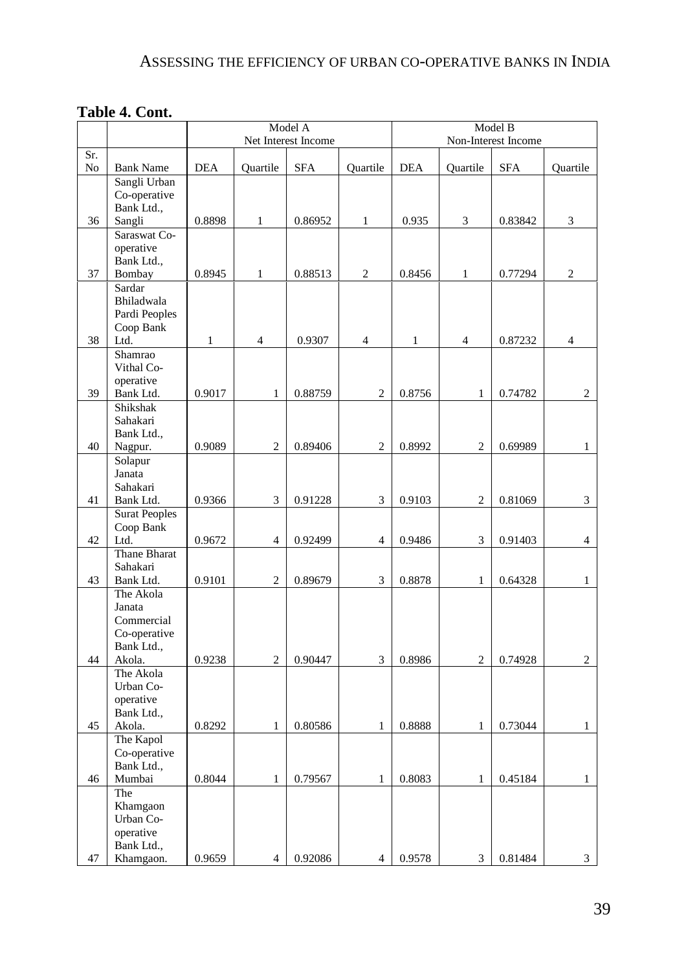# **Table 4. Cont.**

|     |                            |            |                         | Model A             | Model B<br>Non-Interest Income |              |                          |            |                         |
|-----|----------------------------|------------|-------------------------|---------------------|--------------------------------|--------------|--------------------------|------------|-------------------------|
| Sr. |                            |            |                         | Net Interest Income |                                |              |                          |            |                         |
| No  | <b>Bank Name</b>           | <b>DEA</b> | Quartile                | <b>SFA</b>          | Quartile                       | <b>DEA</b>   | Quartile                 | <b>SFA</b> | Quartile                |
|     | Sangli Urban               |            |                         |                     |                                |              |                          |            |                         |
|     | Co-operative<br>Bank Ltd., |            |                         |                     |                                |              |                          |            |                         |
| 36  | Sangli                     | 0.8898     | $\mathbf{1}$            | 0.86952             | $\mathbf{1}$                   | 0.935        | 3                        | 0.83842    | 3                       |
|     | Saraswat Co-               |            |                         |                     |                                |              |                          |            |                         |
|     | operative                  |            |                         |                     |                                |              |                          |            |                         |
|     | Bank Ltd.,                 |            |                         |                     |                                |              |                          |            |                         |
| 37  | Bombay                     | 0.8945     | $\mathbf{1}$            | 0.88513             | $\overline{c}$                 | 0.8456       | $\mathbf{1}$             | 0.77294    | 2                       |
|     | Sardar<br>Bhiladwala       |            |                         |                     |                                |              |                          |            |                         |
|     | Pardi Peoples              |            |                         |                     |                                |              |                          |            |                         |
|     | Coop Bank                  |            |                         |                     |                                |              |                          |            |                         |
| 38  | Ltd.                       | 1          | $\overline{4}$          | 0.9307              | $\overline{4}$                 | $\mathbf{1}$ | $\overline{\mathcal{L}}$ | 0.87232    | $\overline{\mathbf{4}}$ |
|     | Shamrao                    |            |                         |                     |                                |              |                          |            |                         |
|     | Vithal Co-                 |            |                         |                     |                                |              |                          |            |                         |
| 39  | operative<br>Bank Ltd.     | 0.9017     | $\mathbf{1}$            | 0.88759             | $\overline{c}$                 | 0.8756       | 1                        | 0.74782    | $\mathbf{2}$            |
|     | Shikshak                   |            |                         |                     |                                |              |                          |            |                         |
|     | Sahakari                   |            |                         |                     |                                |              |                          |            |                         |
|     | Bank Ltd.,                 |            |                         |                     |                                |              |                          |            |                         |
| 40  | Nagpur.                    | 0.9089     | $\overline{c}$          | 0.89406             | $\overline{c}$                 | 0.8992       | $\overline{c}$           | 0.69989    | 1                       |
|     | Solapur                    |            |                         |                     |                                |              |                          |            |                         |
|     | Janata<br>Sahakari         |            |                         |                     |                                |              |                          |            |                         |
| 41  | Bank Ltd.                  | 0.9366     | 3                       | 0.91228             | 3                              | 0.9103       | $\sqrt{2}$               | 0.81069    | 3                       |
|     | <b>Surat Peoples</b>       |            |                         |                     |                                |              |                          |            |                         |
|     | Coop Bank                  |            |                         |                     |                                |              |                          |            |                         |
| 42  | Ltd.                       | 0.9672     | $\overline{\mathbf{4}}$ | 0.92499             | $\overline{\mathbf{4}}$        | 0.9486       | 3                        | 0.91403    | $\overline{4}$          |
|     | Thane Bharat               |            |                         |                     |                                |              |                          |            |                         |
| 43  | Sahakari<br>Bank Ltd.      | 0.9101     | $\overline{c}$          | 0.89679             | 3                              | 0.8878       | $\mathbf{1}$             | 0.64328    | $\mathbf{1}$            |
|     | The Akola                  |            |                         |                     |                                |              |                          |            |                         |
|     | Janata                     |            |                         |                     |                                |              |                          |            |                         |
|     | Commercial                 |            |                         |                     |                                |              |                          |            |                         |
|     | Co-operative               |            |                         |                     |                                |              |                          |            |                         |
|     | Bank Ltd.,                 |            |                         |                     |                                |              |                          |            |                         |
| 44  | Akola.<br>The Akola        | 0.9238     | $\overline{2}$          | 0.90447             | 3                              | 0.8986       | $\mathbf{2}$             | 0.74928    | $\mathfrak{2}$          |
|     | Urban Co-                  |            |                         |                     |                                |              |                          |            |                         |
|     | operative                  |            |                         |                     |                                |              |                          |            |                         |
|     | Bank Ltd.,                 |            |                         |                     |                                |              |                          |            |                         |
| 45  | Akola.                     | 0.8292     | 1                       | 0.80586             | 1                              | 0.8888       | 1                        | 0.73044    | $\mathbf{1}$            |
|     | The Kapol                  |            |                         |                     |                                |              |                          |            |                         |
|     | Co-operative<br>Bank Ltd., |            |                         |                     |                                |              |                          |            |                         |
| 46  | Mumbai                     | 0.8044     | $\mathbf{1}$            | 0.79567             | $\mathbf{1}$                   | 0.8083       | 1                        | 0.45184    | $\mathbf{1}$            |
|     | The                        |            |                         |                     |                                |              |                          |            |                         |
|     | Khamgaon                   |            |                         |                     |                                |              |                          |            |                         |
|     | Urban Co-                  |            |                         |                     |                                |              |                          |            |                         |
|     | operative<br>Bank Ltd.,    |            |                         |                     |                                |              |                          |            |                         |
| 47  | Khamgaon.                  | 0.9659     | $\overline{4}$          | 0.92086             | $\overline{4}$                 | 0.9578       | 3                        | 0.81484    | 3                       |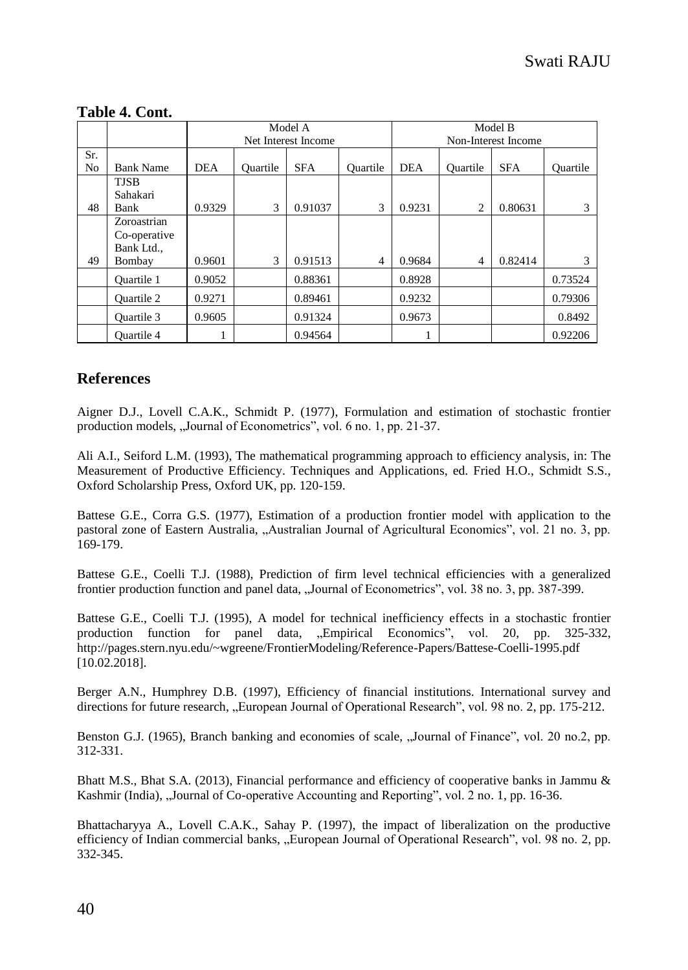|                       |                                                     | Model A<br>Net Interest Income |          |            |          | Model B<br>Non-Interest Income |                |            |          |
|-----------------------|-----------------------------------------------------|--------------------------------|----------|------------|----------|--------------------------------|----------------|------------|----------|
| Sr.<br>N <sub>o</sub> | <b>Bank Name</b>                                    | <b>DEA</b>                     | Ouartile | <b>SFA</b> | Ouartile | <b>DEA</b>                     | Ouartile       | <b>SFA</b> | Ouartile |
| 48                    | <b>TJSB</b><br>Sahakari<br>Bank                     | 0.9329                         | 3        | 0.91037    | 3        | 0.9231                         | 2              | 0.80631    | 3        |
| 49                    | Zoroastrian<br>Co-operative<br>Bank Ltd.,<br>Bombay | 0.9601                         | 3        | 0.91513    | 4        | 0.9684                         | $\overline{4}$ | 0.82414    | 3        |
|                       | <b>Ouartile 1</b>                                   | 0.9052                         |          | 0.88361    |          | 0.8928                         |                |            | 0.73524  |
|                       | <b>Ouartile 2</b>                                   | 0.9271                         |          | 0.89461    |          | 0.9232                         |                |            | 0.79306  |
|                       | Ouartile 3                                          | 0.9605                         |          | 0.91324    |          | 0.9673                         |                |            | 0.8492   |
|                       | <b>Ouartile 4</b>                                   |                                |          | 0.94564    |          |                                |                |            | 0.92206  |

#### **Table 4. Cont.**

## **References**

Aigner D.J., Lovell C.A.K., Schmidt P. (1977), Formulation and estimation of stochastic frontier production models, "Journal of Econometrics", vol. 6 no. 1, pp. 21-37.

Ali A.I., Seiford L.M. (1993), The mathematical programming approach to efficiency analysis, in: The Measurement of Productive Efficiency. Techniques and Applications, ed. Fried H.O., Schmidt S.S., Oxford Scholarship Press, Oxford UK, pp. 120-159.

Battese G.E., Corra G.S. (1977), Estimation of a production frontier model with application to the pastoral zone of Eastern Australia, "Australian Journal of Agricultural Economics", vol. 21 no. 3, pp. 169-179.

Battese G.E., Coelli T.J. (1988), Prediction of firm level technical efficiencies with a generalized frontier production function and panel data, "Journal of Econometrics", vol. 38 no. 3, pp. 387-399.

Battese G.E., Coelli T.J. (1995), A model for technical inefficiency effects in a stochastic frontier production function for panel data, "Empirical Economics", vol. 20, pp. 325-332, http://pages.stern.nyu.edu/~wgreene/FrontierModeling/Reference-Papers/Battese-Coelli-1995.pdf [10.02.2018].

Berger A.N., Humphrey D.B. (1997), Efficiency of financial institutions. International survey and directions for future research, "European Journal of Operational Research", vol. 98 no. 2, pp. 175-212.

Benston G.J. (1965), Branch banking and economies of scale, "Journal of Finance", vol. 20 no.2, pp. 312-331.

Bhatt M.S., Bhat S.A. (2013), Financial performance and efficiency of cooperative banks in Jammu & Kashmir (India), "Journal of Co-operative Accounting and Reporting", vol. 2 no. 1, pp. 16-36.

Bhattacharyya A., Lovell C.A.K., Sahay P. (1997), the impact of liberalization on the productive efficiency of Indian commercial banks, "European Journal of Operational Research", vol. 98 no. 2, pp. 332-345.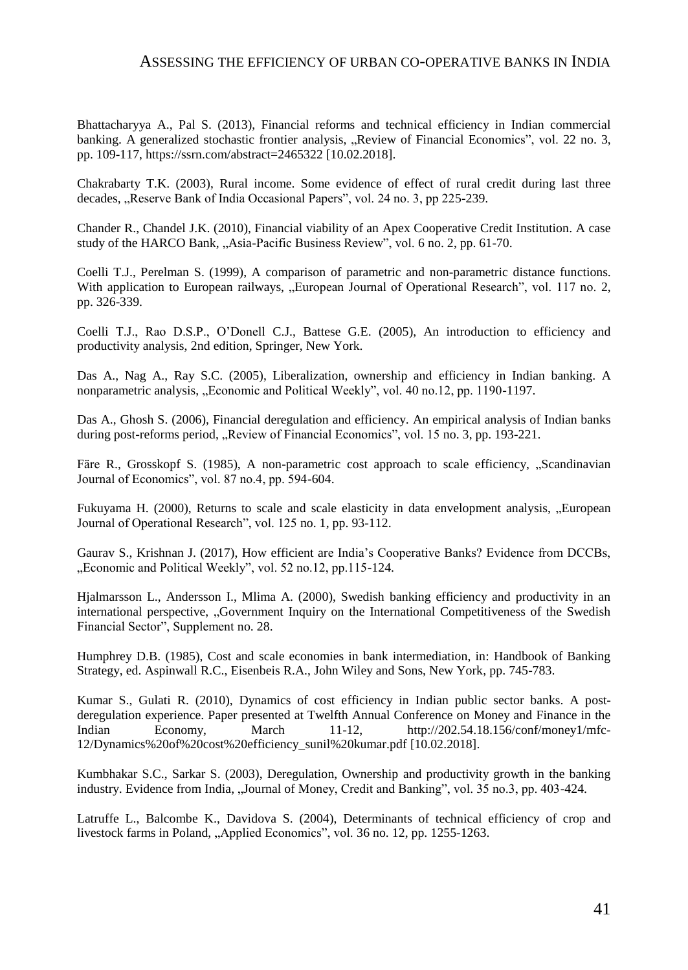#### ASSESSING THE EFFICIENCY OF URBAN CO-OPERATIVE BANKS IN INDIA

Bhattacharyya A., Pal S. (2013), Financial reforms and technical efficiency in Indian commercial banking. A generalized stochastic frontier analysis, "Review of Financial Economics", vol. 22 no. 3, pp. 109-117, https://ssrn.com/abstract=2465322 [10.02.2018].

Chakrabarty T.K. (2003), Rural income. Some evidence of effect of rural credit during last three decades, "Reserve Bank of India Occasional Papers", vol. 24 no. 3, pp 225-239.

Chander R., Chandel J.K. (2010), Financial viability of an Apex Cooperative Credit Institution. A case study of the HARCO Bank, "Asia-Pacific Business Review", vol. 6 no. 2, pp. 61-70.

Coelli T.J., Perelman S. (1999), A comparison of parametric and non-parametric distance functions. With application to European railways, ...European Journal of Operational Research", vol. 117 no. 2, pp. 326-339.

Coelli T.J., Rao D.S.P., O'Donell C.J., Battese G.E. (2005), An introduction to efficiency and productivity analysis, 2nd edition, Springer, New York.

Das A., Nag A., Ray S.C. (2005), Liberalization, ownership and efficiency in Indian banking. A nonparametric analysis, "Economic and Political Weekly", vol. 40 no.12, pp. 1190-1197.

Das A., Ghosh S. (2006), Financial deregulation and efficiency. An empirical analysis of Indian banks during post-reforms period, "Review of Financial Economics", vol. 15 no. 3, pp. 193-221.

Färe R., Grosskopf S. (1985), A non-parametric cost approach to scale efficiency, "Scandinavian Journal of Economics", vol. 87 no.4, pp. 594-604.

Fukuyama H. (2000), Returns to scale and scale elasticity in data envelopment analysis, "European Journal of Operational Research", vol. 125 no. 1, pp. 93-112.

Gaurav S., Krishnan J. (2017), How efficient are India's Cooperative Banks? Evidence from DCCBs, "Economic and Political Weekly", vol. 52 no.12, pp.115-124.

Hjalmarsson L., Andersson I., Mlima A. (2000), Swedish banking efficiency and productivity in an international perspective, "Government Inquiry on the International Competitiveness of the Swedish Financial Sector", Supplement no. 28.

Humphrey D.B. (1985), Cost and scale economies in bank intermediation, in: Handbook of Banking Strategy, ed. Aspinwall R.C., Eisenbeis R.A., John Wiley and Sons, New York, pp. 745-783.

Kumar S., Gulati R. (2010), Dynamics of cost efficiency in Indian public sector banks. A postderegulation experience. Paper presented at Twelfth Annual Conference on Money and Finance in the Indian Economy, March 11-12, http://202.54.18.156/conf/money1/mfc-12/Dynamics%20of%20cost%20efficiency\_sunil%20kumar.pdf [10.02.2018].

Kumbhakar S.C., Sarkar S. (2003), Deregulation, Ownership and productivity growth in the banking industry. Evidence from India, "Journal of Money, Credit and Banking", vol. 35 no.3, pp. 403-424.

Latruffe L., Balcombe K., Davidova S. (2004), Determinants of technical efficiency of crop and livestock farms in Poland, "Applied Economics", vol. 36 no. 12, pp. 1255-1263.